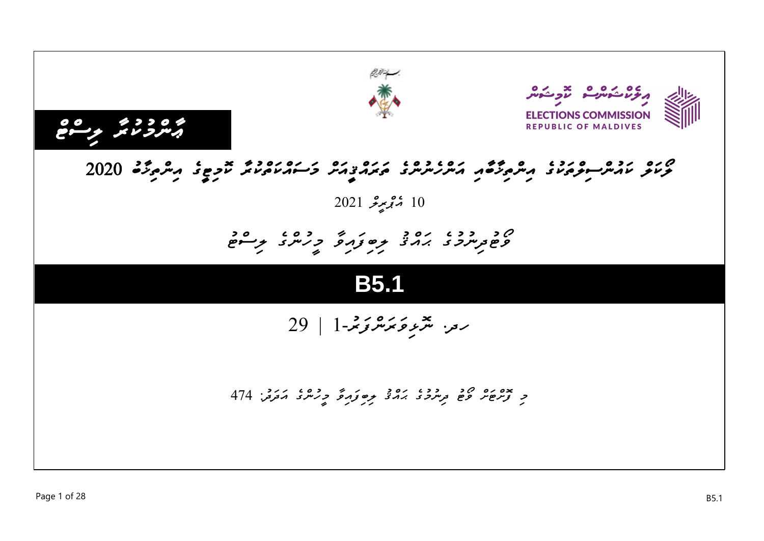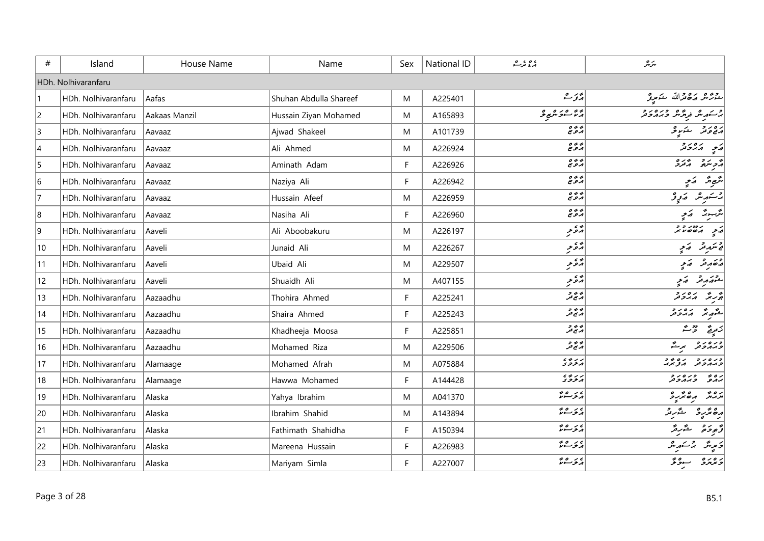| #               | Island              | House Name    | Name                   | Sex | National ID | ، ه ، ره<br>مر: تر          | ىئرىتر                                           |
|-----------------|---------------------|---------------|------------------------|-----|-------------|-----------------------------|--------------------------------------------------|
|                 | HDh. Nolhivaranfaru |               |                        |     |             |                             |                                                  |
| 1               | HDh. Nolhivaranfaru | Aafas         | Shuhan Abdulla Shareef | M   | A225401     | لېزې                        | فشوشهر وره فرالله خوبرو                          |
| $\overline{2}$  | HDh. Nolhivaranfaru | Aakaas Manzil | Hussain Ziyan Mohamed  | M   | A165893     | پە يەر مەيدى <mark>ر</mark> | و در مهر فرمز مر و دره د و<br>پرستور متر فرمز مر |
| 3               | HDh. Nolhivaranfaru | Aavaaz        | Ajwad Shakeel          | M   | A101739     | پر ده م<br>مرغ م            | رەر ئەندى<br>مەھ ھەر                             |
| 4               | HDh. Nolhivaranfaru | Aavaaz        | Ali Ahmed              | M   | A226924     | پر پره<br>  پر پر مح        |                                                  |
| $\overline{5}$  | HDh. Nolhivaranfaru | Aavaaz        | Aminath Adam           | F.  | A226926     | پر چه ه<br>  هر چ           | ړ ده په ده ده ده کر                              |
| $6\overline{6}$ | HDh. Nolhivaranfaru | Aavaaz        | Naziya Ali             | F.  | A226942     | پر چه ه<br>  هر چ           | شي شهر شيم ديگر به مقر<br>مشيخ مشهور مشيخ        |
| $\overline{7}$  | HDh. Nolhivaranfaru | Aavaaz        | Hussain Afeef          | M   | A226959     | پر چه ه<br>  هر چ           |                                                  |
| 8               | HDh. Nolhivaranfaru | Aavaaz        | Nasiha Ali             | F.  | A226960     | پر پره<br>مرغ               | ير<br>سربان مار                                  |
| 9               | HDh. Nolhivaranfaru | Aaveli        | Ali Aboobakuru         | M   | A226197     | الجرةعر                     | 777777770                                        |
| 10              | HDh. Nolhivaranfaru | Aaveli        | Junaid Ali             | M   | A226267     | الحرة محر                   |                                                  |
| 11              | HDh. Nolhivaranfaru | Aaveli        | Ubaid Ali              | M   | A229507     | اړځ مر                      | ويمدنر وكم                                       |
| 12              | HDh. Nolhivaranfaru | Aaveli        | Shuaidh Ali            | M   | A407155     | پژء مو                      | شممه قرم                                         |
| 13              | HDh. Nolhivaranfaru | Aazaadhu      | Thohira Ahmed          | F.  | A225241     | پر پیچ تعر                  |                                                  |
| 14              | HDh. Nolhivaranfaru | Aazaadhu      | Shaira Ahmed           | F.  | A225243     | پر پر حر<br>  هر ښم         | شگهرنگ در در در<br>شگهرنگ در در در<br>زرد در ج   |
| 15              | HDh. Nolhivaranfaru | Aazaadhu      | Khadheeja Moosa        | F.  | A225851     | پر پر حر<br>  هر ښم         |                                                  |
| 16              | HDh. Nolhivaranfaru | Aazaadhu      | Mohamed Riza           | M   | A229506     | پر پر<br>  پر سی تعر        | ورەرو برگ                                        |
| 17              | HDh. Nolhivaranfaru | Alamaage      | Mohamed Afrah          | M   | A075884     | پر پر پر                    | כנסני נסיבי                                      |
| 18              | HDh. Nolhivaranfaru | Alamaage      | Hawwa Mohamed          | F.  | A144428     | پر پر پر                    | ره وره دو                                        |
| 19              | HDh. Nolhivaranfaru | Alaska        | Yahya Ibrahim          | M   | A041370     | ەبەئە                       | תמת תפתיב                                        |
| 20              | HDh. Nolhivaranfaru | Alaska        | Ibrahim Shahid         | M   | A143894     | لەبۇسىد                     | وە ئۆر ئۇرۇ                                      |
| 21              | HDh. Nolhivaranfaru | Alaska        | Fathimath Shahidha     | F.  | A150394     | لمرمثة شرش                  | وٌ وحرة سُدَّرِ مَّدْ                            |
| 22              | HDh. Nolhivaranfaru | Alaska        | Mareena Hussain        | F.  | A226983     | لەنزىسى                     | ۇيرىتر برگىرىتر                                  |
| 23              | HDh. Nolhivaranfaru | Alaska        | Mariyam Simla          | F.  | A227007     | ەبەرەپچ                     | أوسره سوقر                                       |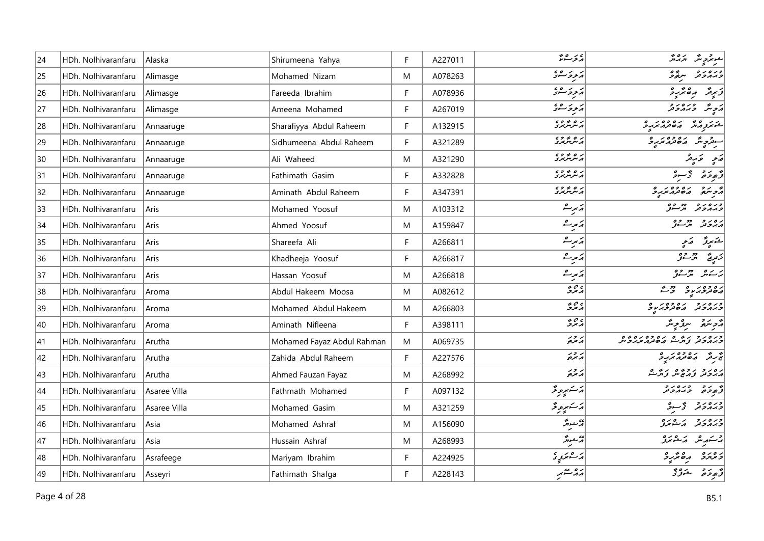| 24 | HDh. Nolhivaranfaru | Alaska       | Shirumeena Yahya           | F         | A227011 | ەبەرەپچ                         | شوند <i>و په مرد و</i>                                                  |
|----|---------------------|--------------|----------------------------|-----------|---------|---------------------------------|-------------------------------------------------------------------------|
| 25 | HDh. Nolhivaranfaru | Alimasge     | Mohamed Nizam              | ${\sf M}$ | A078263 | ە ئەرىخ سىرى                    | ورەرو سەۋ                                                               |
| 26 | HDh. Nolhivaranfaru | Alimasge     | Fareeda Ibrahim            | F         | A078936 | لأعرفه سفو                      | وَسِنَدَ رِهِ مَرْرِدْ                                                  |
| 27 | HDh. Nolhivaranfaru | Alimasge     | Ameena Mohamed             | F         | A267019 | ە ئەرىخ سىرى                    | 7,017 500                                                               |
| 28 | HDh. Nolhivaranfaru | Annaaruge    | Sharafiyya Abdul Raheem    | F         | A132915 | ر ۵ پر د ،<br>مرس پر پر         | ב מקרות נפטנות ב                                                        |
| 29 | HDh. Nolhivaranfaru | Annaaruge    | Sidhumeena Abdul Raheem    | F         | A321289 | ر ۵ پر د ۷<br>مرس مربوبر        | הפרט הפרסת ס                                                            |
| 30 | HDh. Nolhivaranfaru | Annaaruge    | Ali Waheed                 | M         | A321290 | ر ه پژو ،<br>مرس پژيو <u>.</u>  | أقدمي التحرير فكر                                                       |
| 31 | HDh. Nolhivaranfaru | Annaaruge    | Fathimath Gasim            | F         | A332828 | ر ۵ پر د ،<br>مرس پر پر         | وَجوحَةٍ وَّسِرْ                                                        |
| 32 | HDh. Nolhivaranfaru | Annaaruge    | Aminath Abdul Raheem       | F         | A347391 | ر ۵ پر د ،<br>مرس پر پر         | ת נד נסרסנים<br>תקייטת השנתיתו                                          |
| 33 | HDh. Nolhivaranfaru | Aris         | Mohamed Yoosuf             | ${\sf M}$ | A103312 | رئىرىقە                         | כנים גם בפי<br>כג'ו <i>ני</i> כינ, וצעייני                              |
| 34 | HDh. Nolhivaranfaru | Aris         | Ahmed Yoosuf               | M         | A159847 | رئىرىشە                         | גם ג' מ' כם<br>ג'ג' כנק ה' ת' -- ק'                                     |
| 35 | HDh. Nolhivaranfaru | Aris         | Shareefa Ali               | F         | A266811 | وسمرت                           | شەمرۇ<br>ەتىر                                                           |
| 36 | HDh. Nolhivaranfaru | Aris         | Khadheeja Yoosuf           | F         | A266817 | رئىرىشە                         | دو ده<br>در سو<br>ئر توريخ<br>مربع                                      |
| 37 | HDh. Nolhivaranfaru | Aris         | Hassan Yoosuf              | ${\sf M}$ | A266818 | رئىرىشە                         | بر کے میٹر جو حوالا                                                     |
| 38 | HDh. Nolhivaranfaru | Aroma        | Abdul Hakeem Moosa         | M         | A082612 | ې ده د.<br>د ترن                | נפיני פי מיירי בי                                                       |
| 39 | HDh. Nolhivaranfaru | Aroma        | Mohamed Abdul Hakeem       | M         | A266803 | ی می بر<br>پر <sub>محر</sub> بر | כנסני נסיפרנים                                                          |
| 40 | HDh. Nolhivaranfaru | Aroma        | Aminath Nifleena           | F         | A398111 | ی می بر<br>پر <sub>محر</sub> بر | ړې سره په سرو په پر                                                     |
| 41 | HDh. Nolhivaranfaru | Arutha       | Mohamed Fayaz Abdul Rahman | M         | A069735 | ەر بەر                          | ور ہ ر و ۔ ر پ ہ ۔ ر ہ وہ ر ہ پ ہ<br>ح بر پر حر تر تر شہ پر صر پر بر حس |
| 42 | HDh. Nolhivaranfaru | Arutha       | Zahida Abdul Raheem        | F         | A227576 | بر در                           | ى بەش ھەممە مەرج                                                        |
| 43 | HDh. Nolhivaranfaru | Arutha       | Ahmed Fauzan Fayaz         | M         | A268992 | بر در                           | ره رو بروه و بره و.<br>پرپروتر توپری تر توپر ب                          |
| 44 | HDh. Nolhivaranfaru | Asaree Villa | Fathmath Mohamed           | F         | A097132 | رسسمبرعرمو                      | أوجود وره دو                                                            |
| 45 | HDh. Nolhivaranfaru | Asaree Villa | Mohamed Gasim              | M         | A321259 | ە سەمبەء ق                      | ورەرو گەسۇ                                                              |
| 46 | HDh. Nolhivaranfaru | Asia         | Mohamed Ashraf             | ${\sf M}$ | A156090 | ي<br>مر شەمر                    | ورەرو كەشىرو                                                            |
| 47 | HDh. Nolhivaranfaru | Asia         | Hussain Ashraf             | ${\sf M}$ | A268993 | یں شودگر<br>م                   | چرىسى كەن بەرە                                                          |
| 48 | HDh. Nolhivaranfaru | Asrafeege    | Mariyam Ibrahim            | F         | A224925 | <br> در حو برېږي                | ر ه ر ه<br><del>و</del> بوبرو<br>برە ئۆرۈ                               |
| 49 | HDh. Nolhivaranfaru | Asseyri      | Fathimath Shafga           | F         | A228143 | بره منځمبر                      | د پره پره چ                                                             |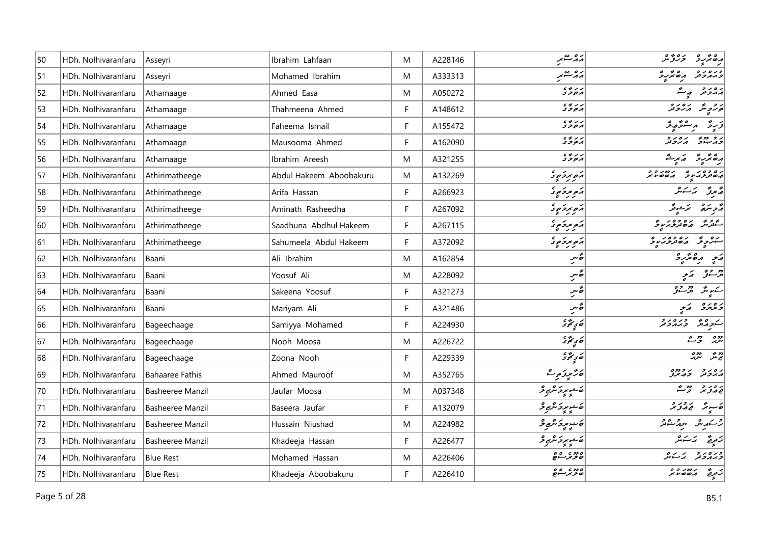| 50 | HDh. Nolhivaranfaru | Asseyri                 | Ibrahim Lahfaan         | M         | A228146 | لره يهمر                       | رەپرىرە بەر <i>ەپە</i>                        |
|----|---------------------|-------------------------|-------------------------|-----------|---------|--------------------------------|-----------------------------------------------|
| 51 | HDh. Nolhivaranfaru | Asseyri                 | Mohamed Ibrahim         | M         | A333313 | برە يىمر                       |                                               |
| 52 | HDh. Nolhivaranfaru | Athamaage               | Ahmed Easa              | M         | A050272 | ر ر د ء<br>مره <del>ر</del> ر  | ړه د په پ                                     |
| 53 | HDh. Nolhivaranfaru | Athamaage               | Thahmeena Ahmed         | F         | A148612 | ر ر د »<br>پره <del>و</del> و  | پروژبر<br>لىر قريبتر                          |
| 54 | HDh. Nolhivaranfaru | Athamaage               | Faheema Ismail          | F         | A155472 | ر ر د »<br>د ه د د             | دَرٍدَ پرےدَ پِرو                             |
| 55 | HDh. Nolhivaranfaru | Athamaage               | Mausooma Ahmed          | F         | A162090 | ر ر د »<br>پره د د             | ر و دوم دره دره<br>درسبور اړرونو              |
| 56 | HDh. Nolhivaranfaru | Athamaage               | Ibrahim Areesh          | M         | A321255 | ر ر د »<br>پره <del>و</del> و  | رەترىر ھىر                                    |
| 57 | HDh. Nolhivaranfaru | Athirimatheege          | Abdul Hakeem Aboobakuru | M         | A132269 | ړ <sub>مو</sub> مر د مو د      | גם כם גם גדרג כב<br>גם <i>נקרג ע</i> ד הססטיק |
| 58 | HDh. Nolhivaranfaru | Athirimatheege          | Arifa Hassan            | F         | A266923 | أروبرووي                       | م برق برکنگر                                  |
| 59 | HDh. Nolhivaranfaru | Athirimatheege          | Aminath Rasheedha       | F         | A267092 | ر<br>مومرىدى                   | أأدو مكرة المتمركة وكر                        |
| 60 | HDh. Nolhivaranfaru | Athirimatheege          | Saadhuna Abdhul Hakeem  | F         | A267115 | ړ <sub>نمو مرخه مو</sub> د     |                                               |
| 61 | HDh. Nolhivaranfaru | Athirimatheege          | Sahumeela Abdul Hakeem  | F         | A372092 | ړ <sub>نمو مرچ مو</sub> ځ      | ر د د په دور ده د                             |
| 62 | HDh. Nolhivaranfaru | Baani                   | Ali Ibrahim             | M         | A162854 | ځ سر<br>خ                      | أرمو أرەمۇر د                                 |
| 63 | HDh. Nolhivaranfaru | Baani                   | Yoosuf Ali              | M         | A228092 | ة<br>مەسر                      | درج ديم<br>الرسوفو ديمو                       |
| 64 | HDh. Nolhivaranfaru | Baani                   | Sakeena Yoosuf          | F         | A321273 | ځ سر                           | سەر پىتىر<br>دد و ه<br>در سور                 |
| 65 | HDh. Nolhivaranfaru | Baani                   | Mariyam Ali             | F         | A321486 | ة <sub>مبر</sub>               | ويروره كمي                                    |
| 66 | HDh. Nolhivaranfaru | Bageechaage             | Samiyya Mohamed         | F         | A224930 | ر<br>صی گوی                    | ה כל כממכת                                    |
| 67 | HDh. Nolhivaranfaru | Bageechaage             | Nooh Moosa              | M         | A226722 | ر<br>ئەس ئە                    | دده دو م                                      |
| 68 | HDh. Nolhivaranfaru | Bageechaage             | Zoona Nooh              | F         | A229339 | ر<br>ئەس ئەھمى                 | دد پر دده<br>بح شر                            |
| 69 | HDh. Nolhivaranfaru | <b>Bahaaree Fathis</b>  | Ahmed Mauroof           | M         | A352765 | ە ئەبىر ئەمرىشە                | ىر 2 مەر<br>مەندى تىر<br>ر و دوه<br>تر پر تر  |
| 70 | HDh. Nolhivaranfaru | Basheeree Manzil        | Jaufar Moosa            | M         | A037348 | ا ھَ شوہردَ مثنی فر            | و در د در د                                   |
| 71 | HDh. Nolhivaranfaru | <b>Basheeree Manzil</b> | Baseera Jaufar          | F         | A132079 | ە ئەبرۇش <sub>ك</sub> و        | ەسىر ئەدىر                                    |
| 72 | HDh. Nolhivaranfaru | Basheeree Manzil        | Hussain Niushad         | ${\sf M}$ | A224982 | ەھبەر ئەمبرى                   | 2 كىرىگە سىرگىشكەر                            |
| 73 | HDh. Nolhivaranfaru | Basheeree Manzil        | Khadeeja Hassan         | F         | A226477 | صَنْدِ مِرِ بَرَ مَرْبِحِ قَرْ | أرَسٍ فَاسْتَمَسَ                             |
| 74 | HDh. Nolhivaranfaru | <b>Blue Rest</b>        | Mohamed Hassan          | ${\sf M}$ | A226406 | ە دە يەرە<br>ھۆسرىسى           | ورەرو پرىكە                                   |
| 75 | HDh. Nolhivaranfaru | <b>Blue Rest</b>        | Khadeeja Aboobakuru     | F         | A226410 | ە دە يەرە<br>ھىرىرىسى          | בעבר המסטיב                                   |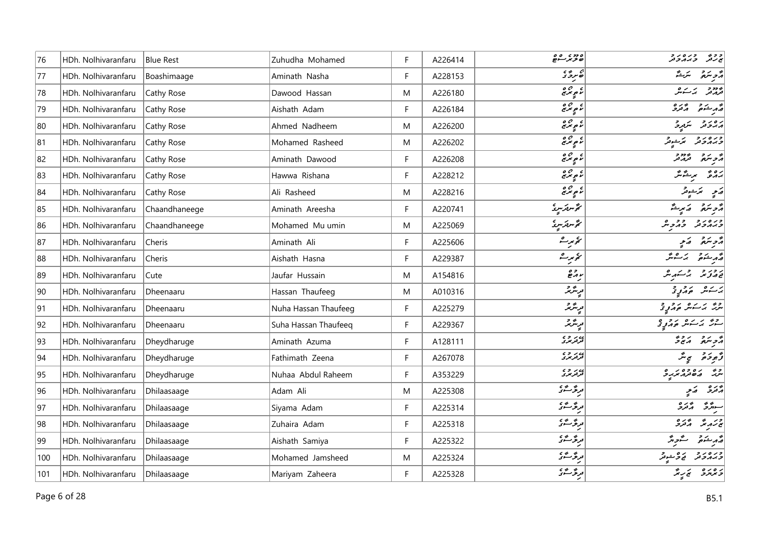| 76           | HDh. Nolhivaranfaru | Blue Rest     | Zuhudha Mohamed      | F         | A226414 | ە دە يەر دە<br>ھۈبرىسوغ                                                      | و و دره رو<br>بح <sup>ر</sup> نگر برندگر          |
|--------------|---------------------|---------------|----------------------|-----------|---------|------------------------------------------------------------------------------|---------------------------------------------------|
| 77           | HDh. Nolhivaranfaru | Boashimaage   | Aminath Nasha        | F         | A228153 | ہ رو ء<br>ھىرو ي                                                             | أأروسكم سكرك                                      |
| 78           | HDh. Nolhivaranfaru | Cathy Rose    | Dawood Hassan        | M         | A226180 |                                                                              | ەددو برسەر                                        |
| 79           | HDh. Nolhivaranfaru | Cathy Rose    | Aishath Adam         | F         | A226184 | ې موسمبي<br>موسمبي                                                           | پور ہ<br>مرکز<br>و مرکز در<br>مرکز شوی            |
| 80           | HDh. Nolhivaranfaru | Cathy Rose    | Ahmed Nadheem        | ${\sf M}$ | A226200 |                                                                              | أرەر بە سكىرد                                     |
| 81           | HDh. Nolhivaranfaru | Cathy Rose    | Mohamed Rasheed      | M         | A226202 | لأحوجرج                                                                      | ورەرو كەنبەتە                                     |
| 82           | HDh. Nolhivaranfaru | Cathy Rose    | Aminath Dawood       | F         | A226208 | ې هې ده<br>ما موسمبي                                                         | و در در دور<br>مرکز ترمد                          |
| 83           | HDh. Nolhivaranfaru | Cathy Rose    | Hawwa Rishana        | F         | A228212 |                                                                              | رەپ برىشىر<br>بەرە برىشىر                         |
| 84           | HDh. Nolhivaranfaru | Cathy Rose    | Ali Rasheed          | ${\sf M}$ | A228216 |                                                                              | أوكمني المخرجون                                   |
| 85           | HDh. Nolhivaranfaru | Chaandhaneege | Aminath Areesha      | F         | A220741 | كۇستىرس <sub>ى</sub> رى                                                      | أأترجم أتأميث                                     |
| 86           | HDh. Nolhivaranfaru | Chaandhaneege | Mohamed Mu umin      | M         | A225069 | ڭرىس <i>قرىب</i> رىگە                                                        | כנסנכ כבבית                                       |
| 87           | HDh. Nolhivaranfaru | Cheris        | Aminath Ali          | F         | A225606 | كجومرث                                                                       | ومحر ينتم وأمرم                                   |
| 88           | HDh. Nolhivaranfaru | Cheris        | Aishath Hasna        | F         | A229387 | كجوموث                                                                       | ۇرىشۇ ئەس ئە                                      |
| 89           | HDh. Nolhivaranfaru | Cute          | Jaufar Hussain       | M         | A154816 | $\overset{o}{\mathcal{E}}\overset{o}{\mathcal{A}}\overset{\nu}{\mathcal{L}}$ | ر ور د محر شهر مثر                                |
| $ 90\rangle$ | HDh. Nolhivaranfaru | Dheenaaru     | Hassan Thaufeeg      | M         | A010316 | ورىتزىز                                                                      | بر شهر محمد و چ                                   |
| 91           | HDh. Nolhivaranfaru | Dheenaaru     | Nuha Hassan Thaufeeg | F         | A225279 | <sub>موس</sub> ترىز<br>ئىر                                                   | وو بر كەش كەر دېگە<br>سرگە بر كەش كۈم توڭ         |
| 92           | HDh. Nolhivaranfaru | Dheenaaru     | Suha Hassan Thaufeeq | F         | A229367 | ویہ متر پر                                                                   | لەيز بەسكىرە ئەدەپ                                |
| 93           | HDh. Nolhivaranfaru | Dheydharuge   | Aminath Azuma        | F         | A128111 | ے پر ح پ<br>قرقر پور                                                         | ה ביתים הזב                                       |
| 94           | HDh. Nolhivaranfaru | Dheydharuge   | Fathimath Zeena      | F         | A267078 | ہے پر ح پے<br>قرقر <i>بو</i> پی                                              | قەددە بېتر                                        |
| 95           | HDh. Nolhivaranfaru | Dheydharuge   | Nuhaa Abdul Raheem   | F         | A353229 | ے پر و پ<br>توتوبوی                                                          | 220202022                                         |
| 96           | HDh. Nolhivaranfaru | Dhilaasaage   | Adam Ali             | M         | A225308 | مرگز گے ج                                                                    | أزندو أيامي                                       |
| 97           | HDh. Nolhivaranfaru | Dhilaasaage   | Siyama Adam          | F         | A225314 | مرتزستر                                                                      | پور ہ<br>پرترو<br>سودگر                           |
| 98           | HDh. Nolhivaranfaru | Dhilaasaage   | Zuhaira Adam         | F         | A225318 | مرتژسته ژ                                                                    | تحركته مجمدة أكراره                               |
| 99           | HDh. Nolhivaranfaru | Dhilaasaage   | Aishath Samiya       | F         | A225322 | ەرگەشىمى                                                                     | أقهر مشورة                                        |
| 100          | HDh. Nolhivaranfaru | Dhilaasaage   | Mohamed Jamsheed     | M         | A225324 | درگر گرم                                                                     | وره رو ده ده.<br>د <i>پرو</i> تر نح <b>ر شوتر</b> |
| 101          | HDh. Nolhivaranfaru | Dhilaasaage   | Mariyam Zaheera      | F         | A225328 | ىر ئۇستىر                                                                    | دەرە ئەرىگە                                       |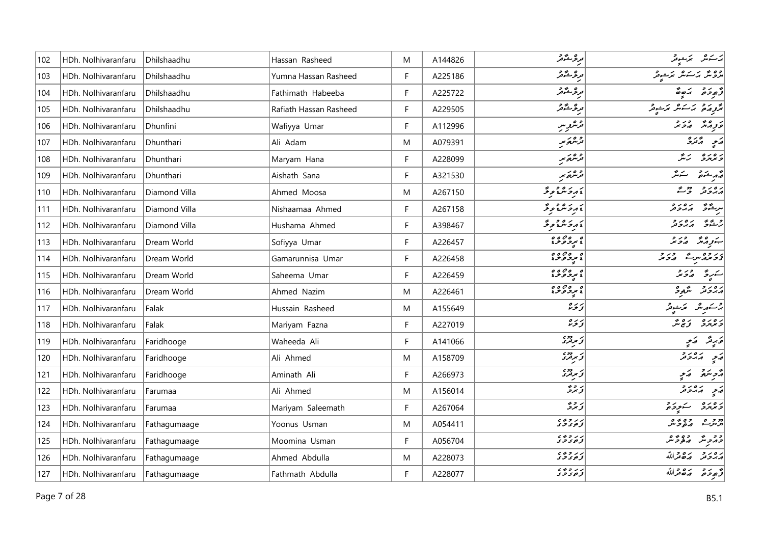| 102 | HDh. Nolhivaranfaru | Dhilshaadhu   | Hassan Rasheed         | M           | A144826 | ىر ئۇ شەڭر                     |                                                                    |
|-----|---------------------|---------------|------------------------|-------------|---------|--------------------------------|--------------------------------------------------------------------|
| 103 | HDh. Nolhivaranfaru | Dhilshaadhu   | Yumna Hassan Rasheed   | F           | A225186 | ىر ئۇ شەتر                     | ىر سىش - ئىرشوش<br>- ئىر سىش - ئىرشوش<br>- ژوئى - ئىر سىش - ئىرشوش |
| 104 | HDh. Nolhivaranfaru | Dhilshaadhu   | Fathimath Habeeba      | F           | A225722 | مروك شكر                       |                                                                    |
| 105 | HDh. Nolhivaranfaru | Dhilshaadhu   | Rafiath Hassan Rasheed | F           | A229505 | ىرتۇشگەتر                      | مگروه و بر کشور مگر شوند                                           |
| 106 | HDh. Nolhivaranfaru | Dhunfini      | Wafiyya Umar           | $\mathsf F$ | A112996 | قرین میں<br> -                 | $512 - 501$                                                        |
| 107 | HDh. Nolhivaranfaru | Dhunthari     | Ali Adam               | M           | A079391 | أقرىثرىمر                      | أوسمح أوره                                                         |
| 108 | HDh. Nolhivaranfaru | Dhunthari     | Maryam Hana            | F           | A228099 | و ه پر                         | رەرە ئەر                                                           |
| 109 | HDh. Nolhivaranfaru | Dhunthari     | Aishath Sana           | F           | A321530 | أقرىثرىمر                      | قەرشىق سەنتر                                                       |
| 110 | HDh. Nolhivaranfaru | Diamond Villa | Ahmed Moosa            | M           | A267150 | ، ئەر ئەنگە ئورگە              | رەر دەر                                                            |
| 111 | HDh. Nolhivaranfaru | Diamond Villa | Nishaamaa Ahmed        | $\mathsf F$ | A267158 | ئەر ئەمرى <i>گە بو</i> گە      | سرشگرگر<br>ەرەر                                                    |
| 112 | HDh. Nolhivaranfaru | Diamond Villa | Hushama Ahmed          | F           | A398467 | ، ئەر ئەنگە ئورگە              | ر شەپ<br>پرور و                                                    |
| 113 | HDh. Nolhivaranfaru | Dream World   | Sofiyya Umar           | $\mathsf F$ | A226457 |                                | 7772201                                                            |
| 114 | HDh. Nolhivaranfaru | Dream World   | Gamarunnisa Umar       | F           | A226458 | ه پروژبو                       | بر د ده مرت<br>د د بروه مرت<br>و ر و<br>در د بر                    |
| 115 | HDh. Nolhivaranfaru | Dream World   | Saheema Umar           | $\mathsf F$ | A226459 | ه پروونو                       | سەرچە ھەمە                                                         |
| 116 | HDh. Nolhivaranfaru | Dream World   | Ahmed Nazim            | M           | A226461 | ه په ده وه وه<br>د مړيز لومونه | رەر ئەھمىدە                                                        |
| 117 | HDh. Nolhivaranfaru | Falak         | Hussain Rasheed        | M           | A155649 | ۇ ئە                           | رحم المراكب المركب وكر                                             |
| 118 | HDh. Nolhivaranfaru | Falak         | Mariyam Fazna          | F           | A227019 | ۇ ئە                           | دەرە زەر                                                           |
| 119 | HDh. Nolhivaranfaru | Faridhooge    | Waheeda Ali            | F           | A141066 | ر دور<br>تو موترو              | ەر قەرىمىيە                                                        |
| 120 | HDh. Nolhivaranfaru | Faridhooge    | Ali Ahmed              | M           | A158709 | تر بردد ؟<br>تر بر تر د        | ړې پره رو                                                          |
| 121 | HDh. Nolhivaranfaru | Faridhooge    | Aminath Ali            | F           | A266973 | تر بردد ؟<br>تر برنرد          | أأدينهم أأأد                                                       |
| 122 | HDh. Nolhivaranfaru | Farumaa       | Ali Ahmed              | M           | A156014 | ترىرى                          | ړې د ده د                                                          |
| 123 | HDh. Nolhivaranfaru | Farumaa       | Mariyam Saleemath      | $\mathsf F$ | A267064 | ر و د                          | ر ه ر ه<br><del>و</del> بربرو<br>سكورة                             |
| 124 | HDh. Nolhivaranfaru | Fathagumaage  | Yoonus Usman           | M           | A054411 | ر ر د د »<br>تو بو بر بر       | و ه و و ه<br>پر څو څر س<br>ود د ه                                  |
| 125 | HDh. Nolhivaranfaru | Fathagumaage  | Moomina Usman          | F           | A056704 | ر ر د د ،<br>تو بو بر بر       | وروبيش ووومي                                                       |
| 126 | HDh. Nolhivaranfaru | Fathagumaage  | Ahmed Abdulla          | M           | A228073 | ر ر د د »<br>زه د ژ ژ          | ىر 2 مەر<br>مەركى قىر<br>وكافقه الله                               |
| 127 | HDh. Nolhivaranfaru | Fathagumaage  | Fathmath Abdulla       | F           | A228077 | ر ر د د »<br>زه د ژ ژ          | قرج حرص والله                                                      |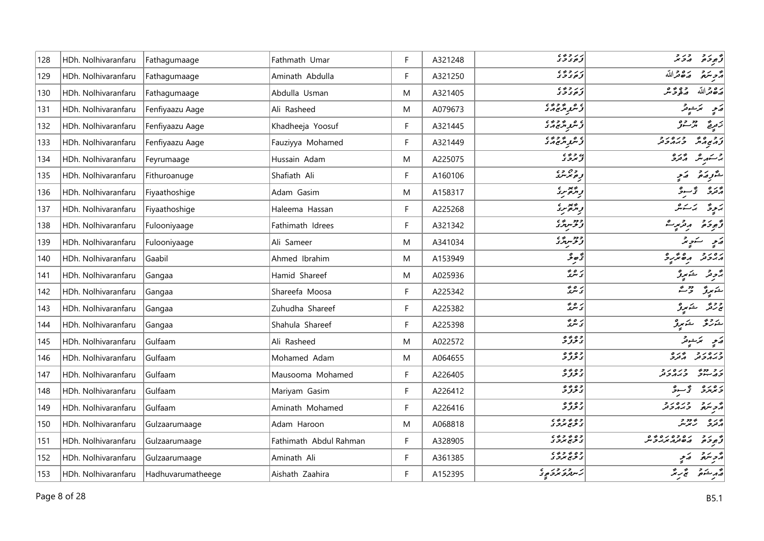| 128 | HDh. Nolhivaranfaru | Fathagumaage      | Fathmath Umar          | F  | A321248 | ر ر د د »<br>زه د ر د                                  | ەرىر<br>ا تو بر در<br>ا                                                                                                                                                                                                         |
|-----|---------------------|-------------------|------------------------|----|---------|--------------------------------------------------------|---------------------------------------------------------------------------------------------------------------------------------------------------------------------------------------------------------------------------------|
| 129 | HDh. Nolhivaranfaru | Fathagumaage      | Aminath Abdulla        | F. | A321250 | ر ر د د ،<br><b>ت</b> رمی <del>ر</del> ت               | برە قراللە<br>أرمز                                                                                                                                                                                                              |
| 130 | HDh. Nolhivaranfaru | Fathagumaage      | Abdulla Usman          | M  | A321405 | ر ر د د ،<br>تر بر د بر                                | ەھىراللە<br>چە ئە ئەر                                                                                                                                                                                                           |
| 131 | HDh. Nolhivaranfaru | Fenfiyaazu Aage   | Ali Rasheed            | M  | A079673 | ، ه په دوره<br><mark>ز</mark> سر <sub>و م</sub> ربره د | أركمني المتر المستوفر                                                                                                                                                                                                           |
| 132 | HDh. Nolhivaranfaru | Fenfiyaazu Aage   | Khadheeja Yoosuf       | F  | A321445 | ، ه په دوره<br>د سر <sub>و</sub> رځ ر <sub>ک</sub>     | ئر توريخ<br>ت<br>دد حره<br>مرسسو                                                                                                                                                                                                |
| 133 | HDh. Nolhivaranfaru | Fenfiyaazu Aage   | Fauziyya Mohamed       | F  | A321449 | ې ه په پرورۍ<br>نرمندنه پرور                           | ر د ماره د<br>و ر ه ر د<br>تر بر پر تر                                                                                                                                                                                          |
| 134 | HDh. Nolhivaranfaru | Feyrumaage        | Hussain Adam           | M  | A225075 | ده و و د<br>تو برو د                                   | جر مسکور شہر محمد کر کھیے تھا کہ ان کے محمد کر کھیے جو ان کے محمد کے محمد کے محمد کے محمد کے محمد کے محمد کے ا<br>محمد محمد ان کے محمد ان کا کام کرنے کے محمد کرنے کے محمد کرنے کے باہر محمد کے محمد کے محمد کے محمد کے محمد کر |
| 135 | HDh. Nolhivaranfaru | Fithuroanuge      | Shafiath Ali           | F  | A160106 | و ۾ و ۽<br>پوهوسر                                      | شرورة وكمي                                                                                                                                                                                                                      |
| 136 | HDh. Nolhivaranfaru | Fiyaathoshige     | Adam Gasim             | M  | A158317 | و پژ <sub>ه</sub> رسری                                 | ورو ويجانبو                                                                                                                                                                                                                     |
| 137 | HDh. Nolhivaranfaru | Fiyaathoshige     | Haleema Hassan         | F  | A225268 | و پر پر ۽<br>پر مربوبر                                 | پر پیچهٔ<br> <br>برسەيىتىر                                                                                                                                                                                                      |
| 138 | HDh. Nolhivaranfaru | Fulooniyaage      | Fathimath Idrees       | F  | A321342 | د دو سرچ ۽<br>تر تر سرچ <sub>ک</sub>                   | ۇپودۇ رىقبېت                                                                                                                                                                                                                    |
| 139 | HDh. Nolhivaranfaru | Fulooniyaage      | Ali Sameer             | M  | A341034 | د دو.<br>تر تر سرد د                                   | أوسمع سنوجد                                                                                                                                                                                                                     |
| 140 | HDh. Nolhivaranfaru | Gaabil            | Ahmed Ibrahim          | M  | A153949 | وَّ ھڻر                                                | پروژو<br>ەھ تررۈ                                                                                                                                                                                                                |
| 141 | HDh. Nolhivaranfaru | Gangaa            | Hamid Shareef          | M  | A025936 | ر ۵ پر<br>ئ                                            | چ <sub>و</sub> پژ خ <sub>ک</sub> ېږو                                                                                                                                                                                            |
| 142 | HDh. Nolhivaranfaru | Gangaa            | Shareefa Moosa         | F  | A225342 | ر ه پی                                                 | درمیز<br> شەمورٌ                                                                                                                                                                                                                |
| 143 | HDh. Nolhivaranfaru | Gangaa            | Zuhudha Shareef        | F. | A225382 | ر ه پی                                                 | ە 23<br>يى مەنگە<br>ے موثر<br>پ                                                                                                                                                                                                 |
| 144 | HDh. Nolhivaranfaru | Gangaa            | Shahula Shareef        | F  | A225398 | ر ه پی                                                 | شەر بۇ<br>ے پر رہ<br>م                                                                                                                                                                                                          |
| 145 | HDh. Nolhivaranfaru | Gulfaam           | Ali Rasheed            | M  | A022572 | وه ۶ ه<br><sub>م</sub> حوثو تر                         | أركمت ترسونر                                                                                                                                                                                                                    |
| 146 | HDh. Nolhivaranfaru | Gulfaam           | Mohamed Adam           | M  | A064655 | وه پوه<br>د تروگ                                       | و ر ه ر د<br>تر پر تر تر                                                                                                                                                                                                        |
| 147 | HDh. Nolhivaranfaru | Gulfaam           | Mausooma Mohamed       | F  | A226405 | وه پوه<br>د تروگ                                       | ر و دوء<br>وەسىرى<br>و ر ه ر و<br>تر پر تر تر                                                                                                                                                                                   |
| 148 | HDh. Nolhivaranfaru | Gulfaam           | Mariyam Gasim          | F  | A226412 | وه ۶ ه<br>کامروگر                                      | ر ه ر ه<br><del>د</del> بربرگر<br>ۇ سەۋ                                                                                                                                                                                         |
| 149 | HDh. Nolhivaranfaru | Gulfaam           | Aminath Mohamed        | F  | A226416 | وه ۶ ه<br><sub>م</sub> حوثو تر                         | و ر ه ر و<br><i>و پر</i> و تر<br>أأرمره                                                                                                                                                                                         |
| 150 | HDh. Nolhivaranfaru | Gulzaarumaage     | Adam Haroon            | M  | A068818 | و ه پر و پر ي<br>د <del>ن</del> و بن بر و د            | پەرە<br>مەنىرى<br>یر دو حر<br>شرمبر                                                                                                                                                                                             |
| 151 | HDh. Nolhivaranfaru | Gulzaarumaage     | Fathimath Abdul Rahman | F  | A328905 | و ه پر و پر ی<br><b>ی عر</b> د ی                       | ره وه ره ۶ و.<br>پره تربر تر تر تر<br>ا تۇ ج <sub>و</sub> جە ج                                                                                                                                                                  |
| 152 | HDh. Nolhivaranfaru | Gulzaarumaage     | Aminath Ali            | F  | A361385 | و ه په و په و<br>د <del>م</del> ربع مرو د              | أرمر وسنرة                                                                                                                                                                                                                      |
| 153 | HDh. Nolhivaranfaru | Hadhuvarumatheege | Aishath Zaahira        | F  | A152395 | ر سرچ ر ور<br>رسرچر <i>پرچ</i> پر                      | ۇرىشكۇ تۇرىگە                                                                                                                                                                                                                   |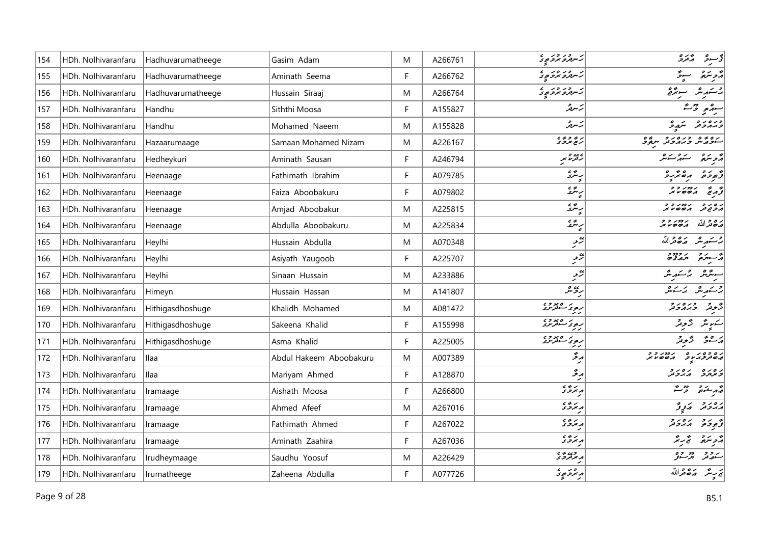| 154 | HDh. Nolhivaranfaru | Hadhuvarumatheege | Gasim Adam              | M | A266761 | <br>  که سرهره مرد مح               | پور ہ<br>مرکز پر<br>ائچ سى <i>مى</i><br>ب |
|-----|---------------------|-------------------|-------------------------|---|---------|-------------------------------------|-------------------------------------------|
| 155 | HDh. Nolhivaranfaru | Hadhuvarumatheege | Aminath Seema           | F | A266762 | ر سرور ور<br>رسرپرو بر و مو د       | أرمز<br>سەۋ                               |
| 156 | HDh. Nolhivaranfaru | Hadhuvarumatheege | Hussain Siraaj          | M | A266764 | ر سرور ور<br>رسرپرو بروم <u>و</u> ر | جرسكور سوبرقي                             |
| 157 | HDh. Nolhivaranfaru | Handhu            | Siththi Moosa           | F | A155827 | ر سرچر                              | سرم و ديگر                                |
| 158 | HDh. Nolhivaranfaru | Handhu            | Mohamed Naeem           | M | A155828 | ر<br>رکسوتو                         | وره رو کرده                               |
| 159 | HDh. Nolhivaranfaru | Hazaarumaage      | Samaan Mohamed Nizam    | M | A226167 | ر ۶ و ۶ ء<br>رسخ بور ی              | رەمە درەرد سەد                            |
| 160 | HDh. Nolhivaranfaru | Hedheykuri        | Aminath Sausan          | F | A246794 | ه ده و<br>ر تور مو                  | أأرد مرد مدين                             |
| 161 | HDh. Nolhivaranfaru | Heenaage          | Fathimath Ibrahim       | F | A079785 | ر پڻري<br>په                        | ومجددة مقتررة                             |
| 162 | HDh. Nolhivaranfaru | Heenaage          | Faiza Aboobakuru        | F | A079802 | ر پٿري<br>په                        |                                           |
| 163 | HDh. Nolhivaranfaru | Heenaage          | Amjad Aboobakur         | M | A225815 | ىرىئىر<br>ئە                        | נים נמנים<br>מכבע מסיטית                  |
| 164 | HDh. Nolhivaranfaru | Heenaage          | Abdulla Aboobakuru      | M | A225834 | ر پٿري<br>پو                        | برە ترالله<br>77/77/7                     |
| 165 | HDh. Nolhivaranfaru | Heylhi            | Hussain Abdulla         | M | A070348 | ده<br>مرمو                          | جرسكريثر الاقتحالله                       |
| 166 | HDh. Nolhivaranfaru | Heylhi            | Asiyath Yaugoob         | F | A225707 | ر<br>مرعمہ                          | י היה היה בין                             |
| 167 | HDh. Nolhivaranfaru | Heylhi            | Sinaan Hussain          | M | A233886 | امي<br>—<br>—                       | سونترند الرئسكريش                         |
| 168 | HDh. Nolhivaranfaru | Himeyn            | Hussain Hassan          | M | A141807 | بەۋىگە                              | برسكريش برسكس                             |
| 169 | HDh. Nolhivaranfaru | Hithigasdhoshuge  | Khalidh Mohamed         | M | A081472 | ره د ۶۵ و د<br>مرد د سوفرمزد        | رحموقر المحدكرون                          |
| 170 | HDh. Nolhivaranfaru | Hithigasdhoshuge  | Sakeena Khalid          | F | A155998 | <br>  ره د سه تر د د<br>  ر         | سەرپىد ئەرىد                              |
| 171 | HDh. Nolhivaranfaru | Hithigasdhoshuge  | Asma Khalid             | F | A225005 | اره د معروج<br>اره د مورمړي         | ړ هڅه د څوند                              |
| 172 | HDh. Nolhivaranfaru | Ilaa              | Abdul Hakeem Aboobakuru | M | A007389 | پر                                  | 77777<br>ره وه رچه<br>مەھىرىچە بەر        |
| 173 | HDh. Nolhivaranfaru | Ilaa              | Mariyam Ahmed           | F | A128870 | برتخ                                |                                           |
| 174 | HDh. Nolhivaranfaru | Iramaage          | Aishath Moosa           | F | A266800 | ويخرجر                              | و مرڪبو ويند                              |
| 175 | HDh. Nolhivaranfaru | Iramaage          | Ahmed Afeef             | M | A267016 | وبردء                               | ده د د ډېر و                              |
| 176 | HDh. Nolhivaranfaru | Iramaage          | Fathimath Ahmed         | F | A267022 | ويخرجري                             | و با ده ده در د                           |
| 177 | HDh. Nolhivaranfaru | Iramaage          | Aminath Zaahira         | F | A267036 | د برو ،<br>د برو د                  | أأرجب المحاربتمر                          |
| 178 | HDh. Nolhivaranfaru | Irudheymaage      | Saudhu Yoosuf           | M | A226429 | د وړه و ،<br>د مرکزد د              | ر د د<br>سوهر تعر<br>دد حرو               |
| 179 | HDh. Nolhivaranfaru | Irumatheege       | Zaheena Abdulla         | F | A077726 | ېر تر دې<br>ر                       | تجريتك وكانقا الله                        |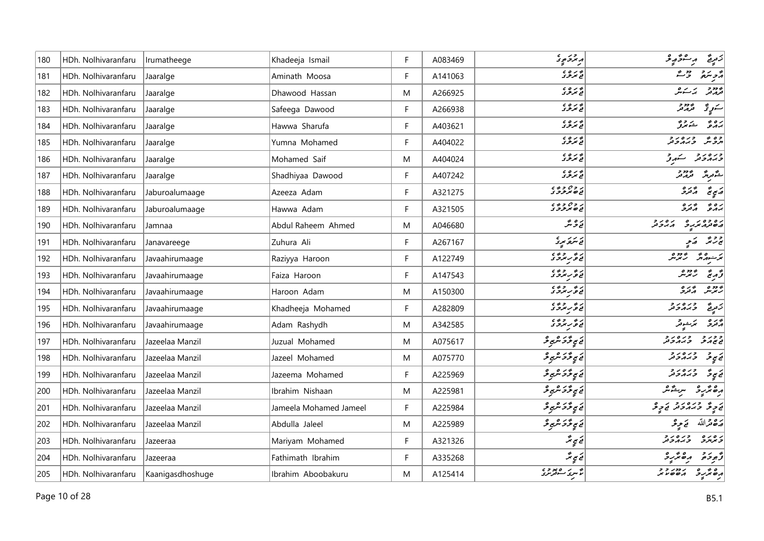| 180 | HDh. Nolhivaranfaru | Irumatheege      | Khadeeja Ismail        | F           | A083469 | ېر بر دې د<br>ر                              | وسنتجميز<br>تزورةً<br><u>التصري</u>                                       |
|-----|---------------------|------------------|------------------------|-------------|---------|----------------------------------------------|---------------------------------------------------------------------------|
| 181 | HDh. Nolhivaranfaru | Jaaralge         | Aminath Moosa          | F           | A141063 | ء پر ہ ء<br>قع <del>م</del> رمز <sub>ک</sub> | أأترسم<br>دومع                                                            |
| 182 | HDh. Nolhivaranfaru | Jaaralge         | Dhawood Hassan         | M           | A266925 | ء پر ہ<br>تع <del>ب</del> ر پور              | پر دو و<br>تو پر تو<br>برسەمىر                                            |
| 183 | HDh. Nolhivaranfaru | Jaaralge         | Safeega Dawood         | F           | A266938 | ء ر ه ،<br>ق پرو د                           | پر دو و<br>تعربر تعر<br>سەرتچ                                             |
| 184 | HDh. Nolhivaranfaru | Jaaralge         | Hawwa Sharufa          | $\mathsf F$ | A403621 |                                              | برەپچ<br>شە ئىرتى                                                         |
| 185 | HDh. Nolhivaranfaru | Jaaralge         | Yumna Mohamed          | F           | A404022 |                                              | و ه م<br>در حس<br>و ره ر د<br><i>و پر د</i> تر                            |
| 186 | HDh. Nolhivaranfaru | Jaaralge         | Mohamed Saif           | M           | A404024 |                                              | و ر ه ر د<br>تر پر ژ تر<br>ستهرقر                                         |
| 187 | HDh. Nolhivaranfaru | Jaaralge         | Shadhiyaa Dawood       | F           | A407242 | ء ر ه ،<br>ق پرو د                           | شور<br>شورگر<br>پر دو و<br>تو <i>هر</i> تعر                               |
| 188 | HDh. Nolhivaranfaru | Jaburoalumaage   | Azeeza Adam            | F           | A321275 | ر و <i>0 و ه ،</i><br>ای <i>ه بر و</i> و د   | $\overline{\mathcal{E}_{\mathcal{Z}}^{\mathcal{E}}\mathcal{Z}}$<br>ەگەترى |
| 189 | HDh. Nolhivaranfaru | Jaburoalumaage   | Hawwa Adam             | F           | A321505 | ر و <i>0 و ه ء</i><br>ق ح <i>ه تر</i> و و د  | $rac{20}{20}$<br>پور ہ<br>مرکزو                                           |
| 190 | HDh. Nolhivaranfaru | Jamnaa           | Abdul Raheem Ahmed     | M           | A046680 | ر ە بۇ<br>ق <sub>ە</sub> ر ئىر               | پروژبر<br>ره وه ر<br>په هنرم تر پر و                                      |
| 191 | HDh. Nolhivaranfaru | Janavareege      | Zuhura Ali             | $\mathsf F$ | A267167 | ئە ئىرىمە ئىرى <sup>تى</sup>                 | ج ح مجر محمد مرکز کے ا                                                    |
| 192 | HDh. Nolhivaranfaru | Javaahirumaage   | Raziyya Haroon         | F           | A122749 | ر قریروی<br>محافر بروی                       | یو دو ه<br>رنجو س<br>ئە سىزەرگە<br>س                                      |
| 193 | HDh. Nolhivaranfaru | Javaahirumaage   | Faiza Haroon           | $\mathsf F$ | A147543 | ر پر پر پر پر<br>نے تر پر پر پر پ            | توریح<br>یر دو ه<br>رنجو نگر                                              |
| 194 | HDh. Nolhivaranfaru | Javaahirumaage   | Haroon Adam            | M           | A150300 | ر پر پر پر پر<br>فع بر بر پر پر              | یر دو ه<br>رنجو مگر<br>پور ہ<br>پر تر تر                                  |
| 195 | HDh. Nolhivaranfaru | Javaahirumaage   | Khadheeja Mohamed      | E           | A282809 | ر پر پر پر پر<br>نے تر پر پر پر پ            | ئرتورچ<br>م<br>و ره ر و<br><i>و پر</i> و تر                               |
| 196 | HDh. Nolhivaranfaru | Javaahirumaage   | Adam Rashydh           | M           | A342585 | ر و بر و و ،<br>نح قر برو د                  | پور ہ<br>پرتونژ<br>بمرشوقر                                                |
| 197 | HDh. Nolhivaranfaru | Jazeelaa Manzil  | Juzual Mohamed         | M           | A075617 | ى <sub>م</sub> ئۆز ئىر ئىلىنى ئىلىر          | و ر ه ر و<br><i>و ټ</i> رو تر<br>و و بر و<br>بح بر گر                     |
| 198 | HDh. Nolhivaranfaru | Jazeelaa Manzil  | Jazeel Mohamed         | M           | A075770 | ى <sub>م</sub> ئۆز ئىر ئىلىنى ئىلىر          | و ره ر د<br>تر پر ژنر<br>کئے ہو تھ                                        |
| 199 | HDh. Nolhivaranfaru | Jazeelaa Manzil  | Jazeema Mohamed        | F           | A225969 | ئے پر پڑ ئر شریر پر                          | و رە ر د<br>تر <i>پر</i> تر تر<br>ر<br>يح مي ر                            |
| 200 | HDh. Nolhivaranfaru | Jazeelaa Manzil  | Ibrahim Nishaan        | M           | A225981 | ئے پر پڑ ئر شریر پر                          | رەتزىرو سىشك                                                              |
| 201 | HDh. Nolhivaranfaru | Jazeelaa Manzil  | Jameela Mohamed Jameel | F           | A225984 | ئے ہر محرکت شریحہ محر                        | ړ و د د د د د د و د <mark>و</mark>                                        |
| 202 | HDh. Nolhivaranfaru | Jazeelaa Manzil  | Abdulla Jaleel         | M           | A225989 | } پ <sub>ې</sub> ئۇ ئەش <sub>بى</sub> ئى     | برە دالله ق دو                                                            |
| 203 | HDh. Nolhivaranfaru | Jazeeraa         | Mariyam Mohamed        | F           | A321326 | رَ سمي مگر<br>ت                              | و ر ه ر د<br>تر پر ژ تر<br>ر ه ر ه<br><del>ر</del> بربر و                 |
| 204 | HDh. Nolhivaranfaru | Jazeeraa         | Fathimath Ibrahim      | F           | A335268 | ر<br> نئے میچ میٹر                           | دەبىرد<br>ۇ بۇ جۇ ج                                                       |
| 205 | HDh. Nolhivaranfaru | Kaanigasdhoshuge | Ibrahim Aboobakuru     | M           | A125414 | ر مهر د ۲۵ وي.<br>ما سری سستمبرسری           | وه پڙيو<br>77/77/7                                                        |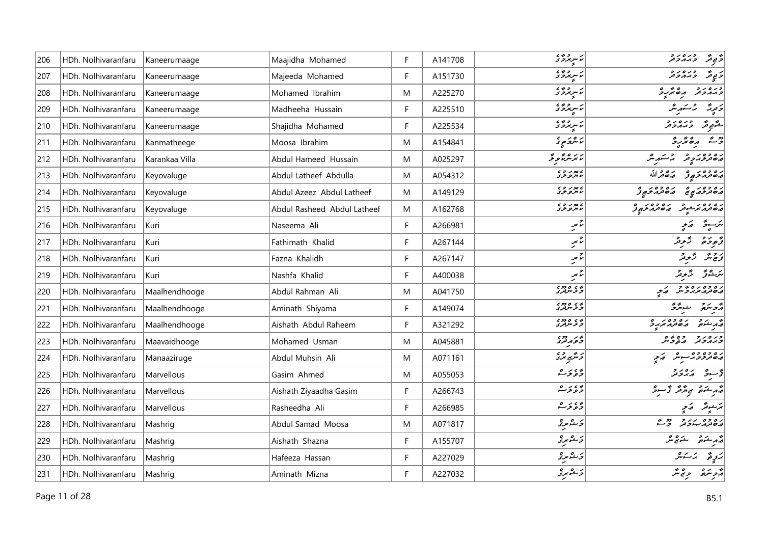| 206 | HDh. Nolhivaranfaru | Kaneerumaage   | Maajidha Mohamed            | F  | A141708 | ر سرچري<br>ماسي پرچ                              | وٌ فَي الله علم الله و الله و الله علم الله عليه الله عليه الله عليه الله عليه الله عليه الله عليه ا |
|-----|---------------------|----------------|-----------------------------|----|---------|--------------------------------------------------|------------------------------------------------------------------------------------------------------|
| 207 | HDh. Nolhivaranfaru | Kaneerumaage   | Majeeda Mohamed             | F. | A151730 | ر<br>ئەسرىترىرى                                  | تر مح مگر<br>و ره ر و<br><i>د ب</i> رگرفر                                                            |
| 208 | HDh. Nolhivaranfaru | Kaneerumaage   | Mohamed Ibrahim             | M  | A225270 | ر سرچوي<br>ماسيپر <del>و</del> ي                 | כנים נים ליב                                                                                         |
| 209 | HDh. Nolhivaranfaru | Kaneerumaage   | Madheeha Hussain            | F. | A225510 | لأمېرچر <sub>ى</sub>                             | دَمِيدٌ بِرْسَهِرِسْ                                                                                 |
| 210 | HDh. Nolhivaranfaru | Kaneerumaage   | Shajidha Mohamed            | F  | A225534 | ئەسر پر دى                                       | و رە ر د<br><i>د بە</i> پەر<br>ڪُوب <sub>و</sub> تگر                                                 |
| 211 | HDh. Nolhivaranfaru | Kanmatheege    | Moosa Ibrahim               | M  | A154841 | ر ه <sub>ر پر و</sub>                            | دی مشک<br>برە ئۆرۈ                                                                                   |
| 212 | HDh. Nolhivaranfaru | Karankaa Villa | Abdul Hameed Hussain        | M  | A025297 | ر بەر ھەم ئە<br>ئائىرىنزى <i>ر</i> ئا            | גە دورىچە بەسىر ش                                                                                    |
| 213 | HDh. Nolhivaranfaru | Keyovaluge     | Abdul Latheef Abdulla       | M  | A054312 | ی پور و ی<br>ما مربو <del>ت</del> ر <sub>ک</sub> | ره وه دره در در الله                                                                                 |
| 214 | HDh. Nolhivaranfaru | Keyovaluge     | Abdul Azeez Abdul Latheef   | M  | A149129 | ی مور و ی<br>ما در و دی                          | رە دەر جەنبەر ھەر دىمبور كې                                                                          |
| 215 | HDh. Nolhivaranfaru | Keyovaluge     | Abdul Rasheed Abdul Latheef | M  | A162768 | ی پر ر و ی<br>ما آلرحومی                         | י 2000 ביטר גם 2009.<br>הסתח ביטר הסתח בקיצו                                                         |
| 216 | HDh. Nolhivaranfaru | Kuri           | Naseema Ali                 | F. | A266981 | تتمبر                                            | لترسوش الكافي                                                                                        |
| 217 | HDh. Nolhivaranfaru | Kuri           | Fathimath Khalid            | F. | A267144 | و<br>موسمبر                                      | و مرد<br>ترجو حرمو<br>رٌ وتر                                                                         |
| 218 | HDh. Nolhivaranfaru | Kuri           | Fazna Khalidh               | F  | A267147 | تتمسح                                            | ۇچىر ئۇچ                                                                                             |
| 219 | HDh. Nolhivaranfaru | Kuri           | Nashfa Khalid               | F  | A400038 | تتمسح                                            | للرشاقى الأحياني                                                                                     |
| 220 | HDh. Nolhivaranfaru | Maalhendhooge  | Abdul Rahman Ali            | M  | A041750 | ه و ود و<br>تر تر ترور                           | גם כם גם מי כי היב                                                                                   |
| 221 | HDh. Nolhivaranfaru | Maalhendhooge  | Aminath Shiyama             | F  | A149074 | ږ ده ده د<br>تر نومرن                            | أأدجر المتمركز                                                                                       |
| 222 | HDh. Nolhivaranfaru | Maalhendhooge  | Aishath Abdul Raheem        | F. | A321292 | ه په ۵ وو په<br>نوکو سربوړي                      | د در ده ده در ه<br>مگرشوی مان معامل مرکز                                                             |
| 223 | HDh. Nolhivaranfaru | Maavaidhooge   | Mohamed Usman               | M  | A045881 | و د دو د<br>د گرم ترد                            | ورەرو وەپەە<br><i>جەم</i> ەرىر مەنى                                                                  |
| 224 | HDh. Nolhivaranfaru | Manaaziruge    | Abdul Muhsin Ali            | M  | A071161 | ئەمگىب <i>ى تر</i> ى                             | - 2020 2020 6 2020                                                                                   |
| 225 | HDh. Nolhivaranfaru | Marvellous     | Gasim Ahmed                 | M  | A055053 | ۇ ئەر ھ                                          | 5,00,00                                                                                              |
| 226 | HDh. Nolhivaranfaru | Marvellous     | Aishath Ziyaadha Gasim      | F  | A266743 | ۇ ئەر ھ                                          | ۇرمۇق بېرۇ ئۇسو                                                                                      |
| 227 | HDh. Nolhivaranfaru | Marvellous     | Rasheedha Ali               | F  | A266985 | ۇ ئەر ھ                                          | لأنشوش أوكمج                                                                                         |
| 228 | HDh. Nolhivaranfaru | Mashrig        | Abdul Samad Moosa           | M  | A071817 | ىر مەھمىرتى<br>مەسىر                             | נפכס נגב ברש.<br>גם בנג היביג ב                                                                      |
| 229 | HDh. Nolhivaranfaru | Mashrig        | Aishath Shazna              | F  | A155707 | ئەھمىرى <sub>قى</sub>                            | د<br>درخور خونمبر                                                                                    |
| 230 | HDh. Nolhivaranfaru | Mashrig        | Hafeeza Hassan              | F. | A227029 | ۇ ئەھمىرتى                                       | برَوٍمُ يَرَ يَمَر                                                                                   |
| 231 | HDh. Nolhivaranfaru | Mashrig        | Aminath Mizna               | F  | A227032 | ئە ھەمرى <sub>قى</sub>                           | أأرجع ومحتر                                                                                          |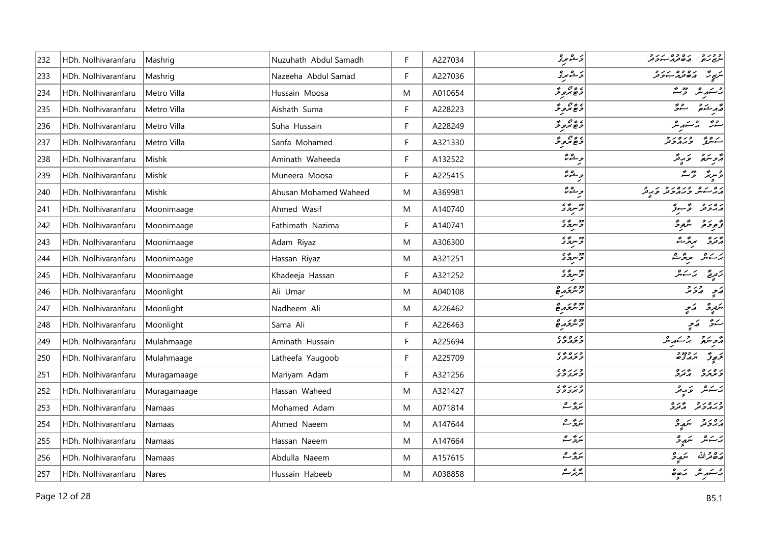| 232 | HDh. Nolhivaranfaru | Mashrig     | Nuzuhath Abdul Samadh | F         | A227034 | ىر شە <sub>مرىقى</sub>                       | ככני נסיס נגב<br>ייני <i>ם הסינה-יכ</i> ינ       |
|-----|---------------------|-------------|-----------------------|-----------|---------|----------------------------------------------|--------------------------------------------------|
| 233 | HDh. Nolhivaranfaru | Mashrig     | Nazeeha Abdul Samad   | F         | A227036 | ر<br>5 سىمبرىقى                              | ره وه برر د<br>پره تر پر ښور تر<br>سَرىپەشتر     |
| 234 | HDh. Nolhivaranfaru | Metro Villa | Hussain Moosa         | M         | A010654 | ة وه عر <sub>و</sub> رً                      | برسكر عراقته                                     |
| 235 | HDh. Nolhivaranfaru | Metro Villa | Aishath Suma          | F         | A228223 | ە ھەمرىرىگە<br>جەھ ئىرى ئى                   | و در دو.<br>ورشوه سوژ                            |
| 236 | HDh. Nolhivaranfaru | Metro Villa | Suha Hussain          | F         | A228249 | ئۇغۇرى <i>مۇ</i>                             | الشرش بر شهر میں                                 |
| 237 | HDh. Nolhivaranfaru | Metro Villa | Sanfa Mohamed         | F         | A321330 | وھ بڑو بڑ                                    | سەمەيرى ئەرەر ئە                                 |
| 238 | HDh. Nolhivaranfaru | $ M$ ishk   | Aminath Waheeda       | F         | A132522 | وشره                                         | أأترجع أقراقه                                    |
| 239 | HDh. Nolhivaranfaru | Mishk       | Muneera Moosa         | F         | A225415 | وشدره                                        | د سرپر تر حر                                     |
| 240 | HDh. Nolhivaranfaru | Mishk       | Ahusan Mohamed Waheed | M         | A369981 | وشەر                                         | נם גם כנסנכ לגב                                  |
| 241 | HDh. Nolhivaranfaru | Moonimaage  | Ahmed Wasif           | M         | A140740 | دو په په<br>د سرچ د                          | ره رو ځېږمو<br>مدونتر ځېږمو                      |
| 242 | HDh. Nolhivaranfaru | Moonimaage  | Fathimath Nazima      | F.        | A140741 | ود سرچ ی<br>حر سرچ <sub>ک</sub>              | ۇ بوخ <sub>ى</sub><br>سَّرْمُحِرْ حَرَّ          |
| 243 | HDh. Nolhivaranfaru | Moonimaage  | Adam Riyaz            | M         | A306300 | دو په په<br>د سرچ د                          | پە رە<br>مەنىرى<br>ىروتزىشە                      |
| 244 | HDh. Nolhivaranfaru | Moonimaage  | Hassan Riyaz          | M         | A321251 | دو په په<br>د سرچر                           | برَ سَەسْ پرېژنشو                                |
| 245 | HDh. Nolhivaranfaru | Moonimaage  | Khadeeja Hassan       | F         | A321252 | دو<br>ترسرچری                                | نرَ ورِجَّ<br>برسەمىر                            |
| 246 | HDh. Nolhivaranfaru | Moonlight   | Ali Umar              | M         | A040108 | وممرزه                                       | $\frac{2}{3}$ $\frac{2}{3}$ $\frac{2}{3}$        |
| 247 | HDh. Nolhivaranfaru | Moonlight   | Nadheem Ali           | ${\sf M}$ | A226462 | ادەرە                                        | ىئەرە<br>كەن<br>رځ په                            |
| 248 | HDh. Nolhivaranfaru | Moonlight   | Sama Ali              | F         | A226463 | وتمرزم                                       | $\frac{1}{2}$ $\frac{2}{3}$                      |
| 249 | HDh. Nolhivaranfaru | Mulahmaage  | Aminath Hussain       | F         | A225694 | و ره و »<br>د <del>و</del> در و د            | ۇچرىكۇ بالەكرىش                                  |
| 250 | HDh. Nolhivaranfaru | Mulahmaage  | Latheefa Yaugoob      | F.        | A225709 | و ره و »<br>د <del>و</del> پر <del>ر</del> د | ן כבב ב<br>חלה בש<br>ځږېژ                        |
| 251 | HDh. Nolhivaranfaru | Muragamaage | Mariyam Adam          | F         | A321256 | و ر ر ر ر د<br>مربو تر د                     | ر ه بر ه<br><del>د</del> بربر د<br>پور ہ<br>مرکز |
| 252 | HDh. Nolhivaranfaru | Muragamaage | Hassan Waheed         | M         | A321427 | و ر ر » »<br>تر بور و د                      | يزكتاند المحارياته                               |
| 253 | HDh. Nolhivaranfaru | Namaas      | Mohamed Adam          | M         | A071814 | ىئەۋىشە                                      | ورەر د پرە<br><i>دىد</i> ردىر م <sup>ى</sup> رد  |
| 254 | HDh. Nolhivaranfaru | Namaas      | Ahmed Naeem           | M         | A147644 | سرپڑ ہے                                      | גפיב הבכ                                         |
| 255 | HDh. Nolhivaranfaru | Namaas      | Hassan Naeem          | M         | A147664 | سرپڑ ہے                                      | ترسكس سَمِيرة                                    |
| 256 | HDh. Nolhivaranfaru | Namaas      | Abdulla Naeem         | M         | A157615 | ىئرۇ شە                                      | رەقراللە<br>سَمِيرة                              |
| 257 | HDh. Nolhivaranfaru | Nares       | Hussain Habeeb        | M         | A038858 | متزبر م                                      | بر کے مرب کے مرک                                 |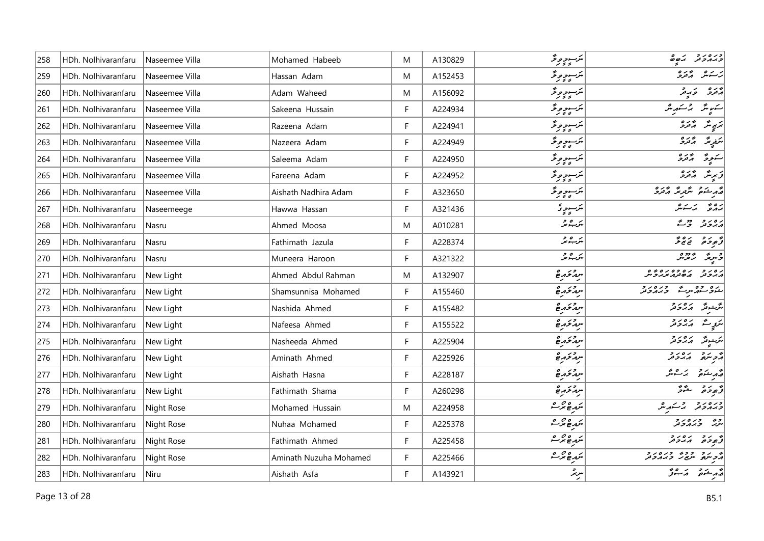| 258 | HDh. Nolhivaranfaru | Naseemee Villa | Mohamed Habeeb         | M           | A130829 | ىئرسوچە بۇ                 | 001 31017                                                           |
|-----|---------------------|----------------|------------------------|-------------|---------|----------------------------|---------------------------------------------------------------------|
| 259 | HDh. Nolhivaranfaru | Naseemee Villa | Hassan Adam            | M           | A152453 | ىئرسوچە بۇ                 | پەر ە<br>مەنزۈ<br>ئەسەئى <sup>س</sup>                               |
| 260 | HDh. Nolhivaranfaru | Naseemee Villa | Adam Waheed            | M           | A156092 | ىئرسوچە بۇ                 | پر ده کر در<br>محمد کا محکم پیش                                     |
| 261 | HDh. Nolhivaranfaru | Naseemee Villa | Sakeena Hussain        | F           | A224934 | ىئرسوچە بۇ<br>ئىستىقى ئى   |                                                                     |
| 262 | HDh. Nolhivaranfaru | Naseemee Villa | Razeena Adam           | $\mathsf F$ | A224941 | ىئەسىرە دۇ.<br>ئىستىقىلىشى | سكېرىگە كەسكىرىگە<br>مەنبى كەرە                                     |
| 263 | HDh. Nolhivaranfaru | Naseemee Villa | Nazeera Adam           | $\mathsf F$ | A224949 | مەسىرە دۇ.<br>مەسىم        | سَمْدِيمٌ الْمُقَرَّدُ                                              |
| 264 | HDh. Nolhivaranfaru | Naseemee Villa | Saleema Adam           | $\mathsf F$ | A224950 | ىئەسىرە دۇ.<br>مەمۇرىيە    | أسكورثه<br>ەرگەر                                                    |
| 265 | HDh. Nolhivaranfaru | Naseemee Villa | Fareena Adam           | F           | A224952 | ىئەسوپە بۇ                 | وَ يَدِيرٌ مُرْتَدَةٌ                                               |
| 266 | HDh. Nolhivaranfaru | Naseemee Villa | Aishath Nadhira Adam   | F           | A323650 | ىئرسوچە بۇ<br>ئىستىمىز     | وأوحده الكعر والمادر                                                |
| 267 | HDh. Nolhivaranfaru | Naseemeege     | Hawwa Hassan           | F           | A321436 | ىئەسىرى<br>ئىستىق          | برەپ برسكىر                                                         |
| 268 | HDh. Nolhivaranfaru | Nasru          | Ahmed Moosa            | M           | A010281 | ىر بە ج                    | رەر دەپ                                                             |
| 269 | HDh. Nolhivaranfaru | Nasru          | Fathimath Jazula       | $\mathsf F$ | A228374 | ىئەبەيتى                   | ىر ە بۇ<br>قى <sup>م</sup> ىگ<br>وحجوحهم                            |
| 270 | HDh. Nolhivaranfaru | Nasru          | Muneera Haroon         | $\mathsf F$ | A321322 | ىر مە ج                    |                                                                     |
| 271 | HDh. Nolhivaranfaru | New Light      | Ahmed Abdul Rahman     | M           | A132907 | سرتمر شره                  | נפני נפיפנטים<br>הגבה השנה <i>גגב</i> ית                            |
| 272 | HDh. Nolhivaranfaru | New Light      | Shamsunnisa Mohamed    | $\mathsf F$ | A155460 | سرتمریح<br>ر               | شوه وه سره دره د و                                                  |
| 273 | HDh. Nolhivaranfaru | New Light      | Nashida Ahmed          | F           | A155482 | سرتمر شورهم                | ش ده در در در در در در در در در است.<br>مرد در در در در در در در در |
| 274 | HDh. Nolhivaranfaru | New Light      | Nafeesa Ahmed          | $\mathsf F$ | A155522 | سرتمريح                    | أتتريث أرورة                                                        |
| 275 | HDh. Nolhivaranfaru | New Light      | Nasheeda Ahmed         | F           | A225904 | برمز تخرج                  | سَرَجومَد كَ مُرْكَرٍ مَرْ                                          |
| 276 | HDh. Nolhivaranfaru | New Light      | Aminath Ahmed          | $\mathsf F$ | A225926 | برمز تخرج                  | הכיתם המכנק                                                         |
| 277 | HDh. Nolhivaranfaru | New Light      | Aishath Hasna          | F           | A228187 | سرتمر شره                  | برُڪبڙ<br>و مرکز دیگر در<br>مرکز مرکز دیگر                          |
| 278 | HDh. Nolhivaranfaru | New Light      | Fathimath Shama        | $\mathsf F$ | A260298 | سرتمریه ه                  | وَجوحَةِ شَرَّحَ                                                    |
| 279 | HDh. Nolhivaranfaru | Night Rose     | Mohamed Hussain        | M           | A224958 | لتروحيت                    | ورەرو ورىم                                                          |
| 280 | HDh. Nolhivaranfaru | Night Rose     | Nuhaa Mohamed          | F           | A225378 | لتروحونه                   | و و د و د و د<br>سرگر او بر مرکز                                    |
| 281 | HDh. Nolhivaranfaru | Night Rose     | Fathimath Ahmed        | F           | A225458 | لتروحون                    | توجدة مدورة                                                         |
| 282 | HDh. Nolhivaranfaru | Night Rose     | Aminath Nuzuha Mohamed | F.          | A225466 | بئروهيمة                   | و دو دوو وره دو<br>تروشي سي ورمدونر                                 |
| 283 | HDh. Nolhivaranfaru | Niru           | Aishath Asfa           | F           | A143921 | سرچر                       | دگەر شىكى ئەرگە ئەرگە                                               |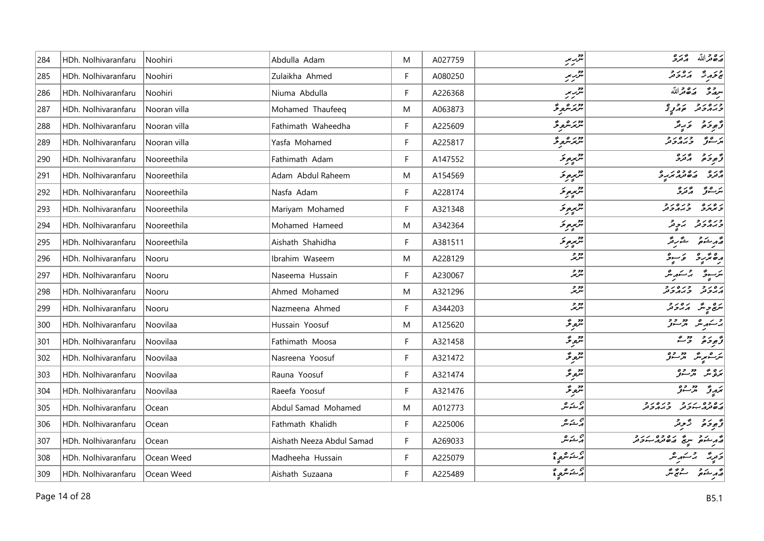| 284 | HDh. Nolhivaranfaru | Noohiri      | Abdulla Adam              | M           | A027759 | چیز<br>مترکب سر             | ەھىراللە<br>پھر ہ<br>مرکز                                            |
|-----|---------------------|--------------|---------------------------|-------------|---------|-----------------------------|----------------------------------------------------------------------|
| 285 | HDh. Nolhivaranfaru | Noohiri      | Zulaikha Ahmed            | F           | A080250 | چیز<br>سربر                 | ەر ئەر<br>لتحرير                                                     |
| 286 | HDh. Nolhivaranfaru | Noohiri      | Niuma Abdulla             | F           | A226368 | چژبر بر<br>سربر             | سعدة مَــــوقم الله                                                  |
| 287 | HDh. Nolhivaranfaru | Nooran villa | Mohamed Thaufeeq          | M           | A063873 | يز پر عرو ځه                | כנסנכ נכנס                                                           |
| 288 | HDh. Nolhivaranfaru | Nooran villa | Fathimath Waheedha        | F           | A225609 | يز پر بر بر گر              | تزود وأرقر                                                           |
| 289 | HDh. Nolhivaranfaru | Nooran villa | Yasfa Mohamed             | F           | A225817 | يز پر عرو گر                | ېزىشۇ<br>و ره ر د<br><i>د ب</i> رگرفر                                |
| 290 | HDh. Nolhivaranfaru | Nooreethila  | Fathimath Adam            | F           | A147552 | چژ <sub>مپرمو</sub> ځه      | وٌ وزة من دره                                                        |
| 291 | HDh. Nolhivaranfaru | Nooreethila  | Adam Abdul Raheem         | M           | A154569 | يژ <sub>موجو</sub> ځه<br>په | ره وه در و<br>یور ہ<br>پر تور                                        |
| 292 | HDh. Nolhivaranfaru | Nooreethila  | Nasfa Adam                | F           | A228174 | يژبره ځه<br>په ک            | ىئەرمىقىتى<br>پور ہ<br>مرتزو                                         |
| 293 | HDh. Nolhivaranfaru | Nooreethila  | Mariyam Mohamed           | F           | A321348 | چوپىر<br>مىزىيە             | و بر ه بر و<br>تر بر بر تر<br>ر ه ر ه                                |
| 294 | HDh. Nolhivaranfaru | Nooreethila  | Mohamed Hameed            | M           | A342364 | چوپىر<br>مىزىيە             | و ر ه ر و<br>و پر پر و تر<br>برَحٍ قر                                |
| 295 | HDh. Nolhivaranfaru | Nooreethila  | Aishath Shahidha          | F           | A381511 | چژ <sub>مپر</sub> مونځه     | ىشەرىتىر<br>م<br>و در شوه<br>م                                       |
| 296 | HDh. Nolhivaranfaru | Nooru        | Ibrahim Waseem            | M           | A228129 | دد د<br>سرپر                |                                                                      |
| 297 | HDh. Nolhivaranfaru | Nooru        | Naseema Hussain           | $\mathsf F$ | A230067 | دد د<br>سرپر                |                                                                      |
| 298 | HDh. Nolhivaranfaru | Nooru        | Ahmed Mohamed             | M           | A321296 | دد د<br>سرپر                | נסנכ כנסנכ<br>גגבת כגגבת                                             |
| 299 | HDh. Nolhivaranfaru | Nooru        | Nazmeena Ahmed            | $\mathsf F$ | A344203 | دد د<br>سرپر                | ىرچ <sub>و</sub> چى مەددىر                                           |
| 300 | HDh. Nolhivaranfaru | Noovilaa     | Hussain Yoosuf            | M           | A125620 | يژ <sub>ھر</sub> پَر        |                                                                      |
| 301 | HDh. Nolhivaranfaru | Noovilaa     | Fathimath Moosa           | F           | A321458 | يتر <sub>عر</sub> تخه       |                                                                      |
| 302 | HDh. Nolhivaranfaru | Noovilaa     | Nasreena Yoosuf           | F           | A321472 | لترعر محر                   | ىر شومېرىش ھەسىر<br>س                                                |
| 303 | HDh. Nolhivaranfaru | Noovilaa     | Rauna Yoosuf              | F           | A321474 | يترعر محر                   | برەپە ھەم دەپلىر<br>مەنبەت ھ                                         |
| 304 | HDh. Nolhivaranfaru | Noovilaa     | Raeefa Yoosuf             | F           | A321476 | يترويحه                     | ىمەر قەررە                                                           |
| 305 | HDh. Nolhivaranfaru | Ocean        | Abdul Samad Mohamed       | M           | A012773 | ج ئەيە<br>مەشكەنلىر         | נס כם ננק - כנסנב<br>גם <i>ננג</i> -יכנג - כגנכנג                    |
| 306 | HDh. Nolhivaranfaru | Ocean        | Fathmath Khalidh          | $\mathsf F$ | A225006 | رمشه مشر                    | وٌوِدَةٌ رُّمِنْ                                                     |
| 307 | HDh. Nolhivaranfaru | Ocean        | Aishath Neeza Abdul Samad | $\mathsf F$ | A269033 | رمەيەھر                     |                                                                      |
| 308 | HDh. Nolhivaranfaru | Ocean Weed   | Madheeha Hussain          | F           | A225079 | أرمشتر معروبا               | האגבית ייתוח המים הגברה<br>האגבית ייתוח הסתוק הברה<br>בצקור הגבון יי |
| 309 | HDh. Nolhivaranfaru | Ocean Weed   | Aishath Suzaana           | F           | A225489 | رمشراريدهم                  | ە<br>تەرىشى سىق شى                                                   |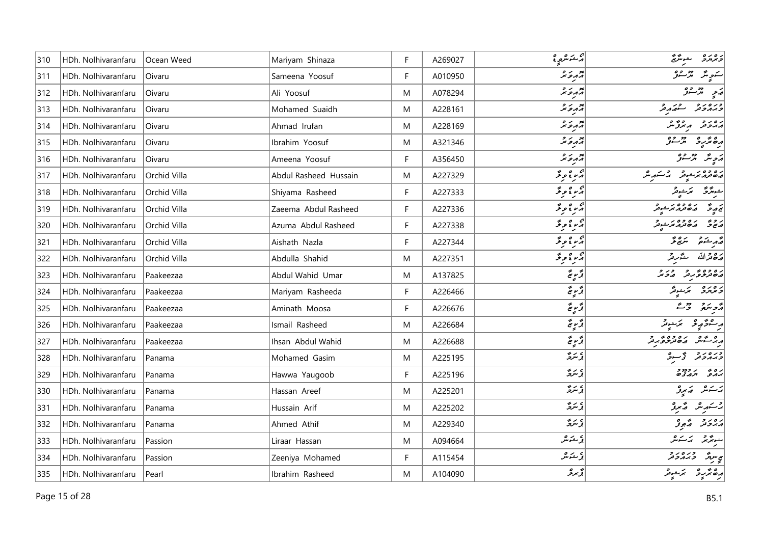| 310   | HDh. Nolhivaranfaru | Ocean Weed   | Mariyam Shinaza       | F           | A269027 | وكشاهيرهم            | أوجر مزيد وسنرجح                                                                                                                                                             |
|-------|---------------------|--------------|-----------------------|-------------|---------|----------------------|------------------------------------------------------------------------------------------------------------------------------------------------------------------------------|
| 311   | HDh. Nolhivaranfaru | Oivaru       | Sameena Yoosuf        | F           | A010950 | لترمر فر             | سەھ بىر بىر يور يور                                                                                                                                                          |
| $312$ | HDh. Nolhivaranfaru | Oivaru       | Ali Yoosuf            | M           | A078294 | پر در<br>مهرمونړ     | $\begin{array}{cc} 2 & 2 & 2 \\ 2 & -2 & 2 \\ 3 & 2 & 3 \end{array}$                                                                                                         |
| 313   | HDh. Nolhivaranfaru | Oivaru       | Mohamed Suaidh        | M           | A228161 | لترمر خمر            | כנים ניביות ב                                                                                                                                                                |
| 314   | HDh. Nolhivaranfaru | Oivaru       | Ahmad Irufan          | M           | A228169 | وزمرغه               | גפגב <sub>ת בב</sub> בב                                                                                                                                                      |
| 315   | HDh. Nolhivaranfaru | Oivaru       | Ibrahim Yoosuf        | M           | A321346 | لترمر بحر            | ו פיצים וקברים<br>הפיצים וקברים                                                                                                                                              |
| 316   | HDh. Nolhivaranfaru | Oivaru       | Ameena Yoosuf         | F           | A356450 | أزمر نحر             | ړې پر ده ده                                                                                                                                                                  |
| 317   | HDh. Nolhivaranfaru | Orchid Villa | Abdul Rasheed Hussain | M           | A227329 | ەر بە ئوقر           | קס קס ג' ליבוד הריידי היירועיים.<br>הייס <i>החי ג' ליבוד היירו</i> עיים.<br>הייס ליבוד ליבוד ליבוד היירועיים.                                                                |
| 318   | HDh. Nolhivaranfaru | Orchid Villa | Shiyama Rasheed       | F           | A227333 | ې په دې د څر         | ے دیگر محمد استعمال<br>استعمال کے استعمال کے دور کے دیکھیے<br>کام کام کام کام کام کام کام کرنے والی کام کرنے والی کام کرنے والی کام کرنے والی کام کرنے کے دور کام کرنے کے دی |
| 319   | HDh. Nolhivaranfaru | Orchid Villa | Zaeema Abdul Rasheed  | F           | A227336 | ەر بە ئوقە<br>مەنبە  |                                                                                                                                                                              |
| 320   | HDh. Nolhivaranfaru | Orchid Villa | Azuma Abdul Rasheed   | F           | A227338 | وسوء وقر             | ر د د م د ده د د د د د د د د د                                                                                                                                               |
| 321   | HDh. Nolhivaranfaru | Orchid Villa | Aishath Nazla         | F           | A227344 | ەر بە ئوقر           | أقهر شدة الترجيح                                                                                                                                                             |
| 322   | HDh. Nolhivaranfaru | Orchid Villa | Abdulla Shahid        | M           | A227351 | ەر بە ئوقر           | أرة مرالله مؤرمر                                                                                                                                                             |
| 323   | HDh. Nolhivaranfaru | Paakeezaa    | Abdul Wahid Umar      | M           | A137825 | ېژى <sub>س</sub> ئىچ | נ פרס מי כן פרס<br>הסתיכת הכינ                                                                                                                                               |
| 324   | HDh. Nolhivaranfaru | Paakeezaa    | Mariyam Rasheeda      | F           | A226466 | ۇرىيەتچ              | رەرە ئور                                                                                                                                                                     |
| 325   | HDh. Nolhivaranfaru | Paakeezaa    | Aminath Moosa         | $\mathsf F$ | A226676 | ېژىدىنچ              | أأرمر المحافظة                                                                                                                                                               |
| 326   | HDh. Nolhivaranfaru | Paakeezaa    | Ismail Rasheed        | M           | A226684 | ېژى <sub>سى</sub> چ  |                                                                                                                                                                              |
| 327   | HDh. Nolhivaranfaru | Paakeezaa    | Ihsan Abdul Wahid     | M           | A226688 | ېژى <sub>سى</sub> چ  |                                                                                                                                                                              |
| 328   | HDh. Nolhivaranfaru | Panama       | Mohamed Gasim         | M           | A225195 | ې پر پر<br>بر سرچ    | ورەرو پچە                                                                                                                                                                    |
| 329   | HDh. Nolhivaranfaru | Panama       | Hawwa Yaugoob         | F           | A225196 | ې پر پر<br>بر سرچ    | ן כדב ב<br>חקה בים<br>برەپچ                                                                                                                                                  |
| 330   | HDh. Nolhivaranfaru | Panama       | Hassan Areef          | M           | A225201 | ې پر پر<br>بو سرچ    | ىزىكەش كەيپرى                                                                                                                                                                |
| 331   | HDh. Nolhivaranfaru | Panama       | Hussain Arif          | M           | A225202 | ې پر پر<br>بر سرچ    | جەسكىر شەھرىم                                                                                                                                                                |
| 332   | HDh. Nolhivaranfaru | Panama       | Ahmed Athif           | M           | A229340 | ې پر پر<br>بر سرچ    | رەرد ئەرە                                                                                                                                                                    |
| 333   | HDh. Nolhivaranfaru | Passion      | Liraar Hassan         | M           | A094664 | ۇ خەمىر              | سىدىر كەسكەش                                                                                                                                                                 |
| 334   | HDh. Nolhivaranfaru | Passion      | Zeeniya Mohamed       | F           | A115454 | بۇيئەمىر             | و پر و پر و<br><i>د بر</i> کر تر<br>اسمبر<br>په مردگر                                                                                                                        |
| 335   | HDh. Nolhivaranfaru | Pearl        | Ibrahim Rasheed       | M           | A104090 | ۇ برىژ               | أرەنۇر ئىسو                                                                                                                                                                  |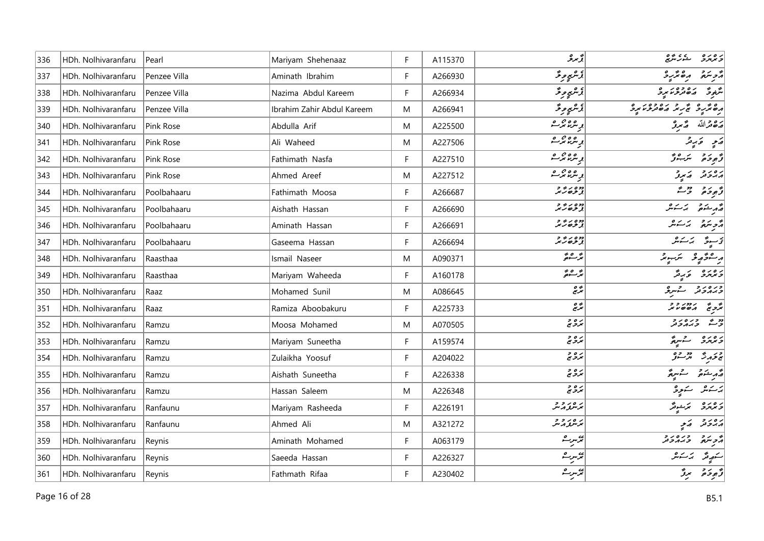| 336 | HDh. Nolhivaranfaru | Pearl        | Mariyam Shehenaaz          | $\mathsf F$ | A115370 | ژىرىژ                                       | ے <sup>ی</sup> جرم<br>ر ه ر ه<br><del>ر</del> بربر ژ |
|-----|---------------------|--------------|----------------------------|-------------|---------|---------------------------------------------|------------------------------------------------------|
| 337 | HDh. Nolhivaranfaru | Penzee Villa | Aminath Ibrahim            | F           | A266930 | ۇ يى <sub>رىپ</sub> ىرىدۇ                   | ېژ د سره<br>م                                        |
| 338 | HDh. Nolhivaranfaru | Penzee Villa | Nazima Abdul Kareem        | F           | A266934 | ۇشمې <sub>ئو</sub> رگە                      | ره وه ر<br>پره ترېر تړه<br>سَّنْعُوثَر               |
| 339 | HDh. Nolhivaranfaru | Penzee Villa | Ibrahim Zahir Abdul Kareem | M           | A266941 | ۇ ئىرى<br>بۇ ئىرى <sub>م</sub>              | 0 10701 7 1 0 1010<br>1,04 1,04 1,04 1,04 1,05       |
| 340 | HDh. Nolhivaranfaru | Pink Rose    | Abdulla Arif               | M           | A225500 | وه هيوت                                     | مَدْهُ مَدْ مَدْ مِرْ مِنْ                           |
| 341 | HDh. Nolhivaranfaru | Pink Rose    | Ali Waheed                 | M           | A227506 | ويدروغ                                      | ويمي وكبرد                                           |
| 342 | HDh. Nolhivaranfaru | Pink Rose    | Fathimath Nasfa            | F           | A227510 | ارپرېږمنه                                   | تجوزه<br>ىئەر يەر                                    |
| 343 | HDh. Nolhivaranfaru | Pink Rose    | Ahmed Areef                | M           | A227512 | ار موره چ <u>ې م</u>                        | גפגב ג'יקב                                           |
| 344 | HDh. Nolhivaranfaru | Poolbahaaru  | Fathimath Moosa            | F           | A266687 | دده ر بر د<br>بر <del>ن</del> ر <i>ه ر</i>  | وٌ پر دو در م                                        |
| 345 | HDh. Nolhivaranfaru | Poolbahaaru  | Aishath Hassan             | $\mathsf F$ | A266690 | دد ه ر بر د<br>بر <del>ن</del> ر <i>ه ر</i> | ۇرىشقى ئەسكىش                                        |
| 346 | HDh. Nolhivaranfaru | Poolbahaaru  | Aminath Hassan             | F           | A266691 | دد ه د رو و<br>بر موره رسمه                 | أوجر متعرج بمسكون                                    |
| 347 | HDh. Nolhivaranfaru | Poolbahaaru  | Gaseema Hassan             | F           | A266694 | دد ه بر بر و<br>بر مر ځه سر                 | ۇسوگە كەسكىر                                         |
| 348 | HDh. Nolhivaranfaru | Raasthaa     | Ismail Naseer              | M           | A090371 | پر ٥ پر                                     | ر عۇرپۇ سىيەتم                                       |
| 349 | HDh. Nolhivaranfaru | Raasthaa     | Mariyam Waheeda            | F           | A160178 | پر ٥ پر                                     | ر ه ر ه<br><del>و</del> بوبرو<br>ى برىگ              |
| 350 | HDh. Nolhivaranfaru | Raaz         | Mohamed Sunil              | M           | A086645 | پر ہ<br>برج                                 | سەسرىۋ<br>و ره ر د<br>تر پر تر تر                    |
| 351 | HDh. Nolhivaranfaru | Raaz         | Ramiza Aboobakuru          | F           | A225733 | پر ہ<br>برج                                 | 77777<br>تترىخ                                       |
| 352 | HDh. Nolhivaranfaru | Ramzu        | Moosa Mohamed              | M           | A070505 | ر ه د<br>برو بح                             | ديو پڻ<br>و ره ر و<br><i>و پر د</i> تر               |
| 353 | HDh. Nolhivaranfaru | Ramzu        | Mariyam Suneetha           | F           | A159574 | ر ه د<br>برو بح                             | ر ه ر ه<br><del>ر</del> بربرگ<br>شەسپۇ               |
| 354 | HDh. Nolhivaranfaru | Ramzu        | Zulaikha Yoosuf            | F           | A204022 | ر ه د<br>برو بح                             | دد وه<br>در سور<br>چ ئۇ م <sup>ەش</sup> ر            |
| 355 | HDh. Nolhivaranfaru | Ramzu        | Aishath Suneetha           | F           | A226338 | بر ه د<br>برد بع                            | و د کرده<br>د کرد کنو<br>سەسىر                       |
| 356 | HDh. Nolhivaranfaru | Ramzu        | Hassan Saleem              | M           | A226348 | بر ه و<br>برو م                             | بزيە يىر<br>سەَرِدْ                                  |
| 357 | HDh. Nolhivaranfaru | Ranfaunu     | Mariyam Rasheeda           | F           | A226191 | ىر شرى <i>ز ش</i> ر                         | ر ه بر ه<br><del>ر</del> بربر و<br>ىخرىشەقگر         |
| 358 | HDh. Nolhivaranfaru | Ranfaunu     | Ahmed Ali                  | M           | A321272 | ر ەر دې <sub>ر</sub>                        | رەرد كەي                                             |
| 359 | HDh. Nolhivaranfaru | Reynis       | Aminath Mohamed            | F.          | A063179 | ئۇسرىقە<br>س                                |                                                      |
| 360 | HDh. Nolhivaranfaru | Reynis       | Saeeda Hassan              | F           | A226327 | ىئەبىرىشە<br>سىر                            | برسەيىر<br>سكورقر                                    |
| 361 | HDh. Nolhivaranfaru | Reynis       | Fathmath Rifaa             | F           | A230402 | ئۇسرىشە                                     | وٌجودَهُ عِروٌ                                       |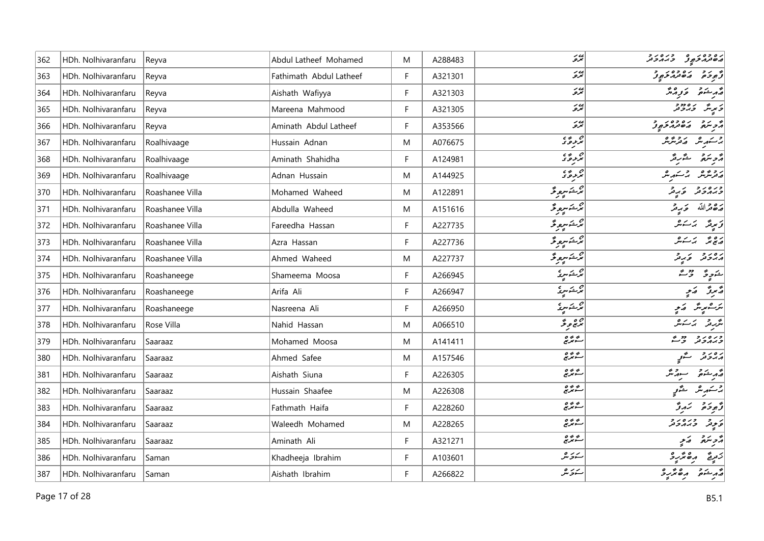| 362 | HDh. Nolhivaranfaru | Reyva           | Abdul Latheef Mohamed   | M           | A288483 | ىر<br>مور                                 | גם כם גם כגם גב<br>גם <i>נה כ<sub>קי</sub>י</i> ל כגובית                                                                                                                                                                                       |
|-----|---------------------|-----------------|-------------------------|-------------|---------|-------------------------------------------|------------------------------------------------------------------------------------------------------------------------------------------------------------------------------------------------------------------------------------------------|
| 363 | HDh. Nolhivaranfaru | Reyva           | Fathimath Abdul Latheef | F           | A321301 | یں ر<br>محر ح                             | רבים הסינו בים ד                                                                                                                                                                                                                               |
| 364 | HDh. Nolhivaranfaru | Reyva           | Aishath Wafiyya         | F.          | A321303 | ىر<br>مور                                 | ومنعص ورواد                                                                                                                                                                                                                                    |
| 365 | HDh. Nolhivaranfaru | Reyva           | Mareena Mahmood         | F.          | A321305 | یں ر<br>محری                              | ر ۶ ۶۶ و<br>تربر <del>ت</del> ر تو<br>ۇ بېرىتر                                                                                                                                                                                                 |
| 366 | HDh. Nolhivaranfaru | Reyva           | Aminath Abdul Latheef   | F           | A353566 | ىر<br>مور                                 | ו פי הסיפור בית ה                                                                                                                                                                                                                              |
| 367 | HDh. Nolhivaranfaru | Roalhivaage     | Hussain Adnan           | M           | A076675 | ە<br>ئىرىرى <i>تى</i>                     | جرسكوريش المتقرينكر                                                                                                                                                                                                                            |
| 368 | HDh. Nolhivaranfaru | Roalhivaage     | Aminath Shahidha        | F           | A124981 | ە<br>ئىرىرى <i>تى</i>                     | أأديتهم المقربة                                                                                                                                                                                                                                |
| 369 | HDh. Nolhivaranfaru | Roalhivaage     | Adnan Hussain           | M           | A144925 | ەر<br>ئىرىرە ئ                            | روموه ومستهرش                                                                                                                                                                                                                                  |
| 370 | HDh. Nolhivaranfaru | Roashanee Villa | Mohamed Waheed          | M           | A122891 | چړېئه <sub>موجو</sub> مخه<br>مر <u>مو</u> | وره رو در د<br>درمدونر کوبرنر                                                                                                                                                                                                                  |
| 371 | HDh. Nolhivaranfaru | Roashanee Villa | Abdulla Waheed          | M           | A151616 | ىر<br>ئىرىشەسرە ئ <sup>ۆ</sup> ر          | أصحص الله عرسية                                                                                                                                                                                                                                |
| 372 | HDh. Nolhivaranfaru | Roashanee Villa | Fareedha Hassan         | F           | A227735 | ە<br>ئەشئە س <sub>ە</sub> رىم             | تۇيدىگە كەسكەنگر                                                                                                                                                                                                                               |
| 373 | HDh. Nolhivaranfaru | Roashanee Villa | Azra Hassan             | F           | A227736 | ترىئەسرە ق                                | رەپر برىك                                                                                                                                                                                                                                      |
| 374 | HDh. Nolhivaranfaru | Roashanee Villa | Ahmed Waheed            | Μ           | A227737 | ترىئەسرە قر                               | پرورو کردی                                                                                                                                                                                                                                     |
| 375 | HDh. Nolhivaranfaru | Roashaneege     | Shameema Moosa          | F           | A266945 | ە<br>ئىرىشەسرى                            | حر مشر<br>لمشورة                                                                                                                                                                                                                               |
| 376 | HDh. Nolhivaranfaru | Roashaneege     | Arifa Ali               | F           | A266947 | مرڪسري<br>مرڪس                            | ويحبرقه<br>ەئىر                                                                                                                                                                                                                                |
| 377 | HDh. Nolhivaranfaru | Roashaneege     | Nasreena Ali            | F           | A266950 | ترىشەسرىگە                                | ترجيرتكن وكمي                                                                                                                                                                                                                                  |
| 378 | HDh. Nolhivaranfaru | Rose Villa      | Nahid Hassan            | M           | A066510 | ە ە ھ<br>ئىرىج ھ <sub>ۇ</sub> قخە         | لترباني الاسكانل                                                                                                                                                                                                                               |
| 379 | HDh. Nolhivaranfaru | Saaraaz         | Mohamed Moosa           | M           | A141411 | شروره<br>ستوسری                           | و ر ه ر د<br>تر پر ژنر                                                                                                                                                                                                                         |
| 380 | HDh. Nolhivaranfaru | Saaraaz         | Ahmed Safee             | M           | A157546 | شروره<br>ستورس                            | ر ە ر د<br>م.رى<br>ستنمو                                                                                                                                                                                                                       |
| 381 | HDh. Nolhivaranfaru | Saaraaz         | Aishath Siuna           | F           | A226305 | شر پره<br>سنورې                           | و مرد ديگر<br>مرد شوه سور ش                                                                                                                                                                                                                    |
| 382 | HDh. Nolhivaranfaru | Saaraaz         | Hussain Shaafee         | Μ           | A226308 | سەپرى                                     | جەسەمەر بىر<br>ب                                                                                                                                                                                                                               |
| 383 | HDh. Nolhivaranfaru | Saaraaz         | Fathmath Haifa          | F           | A228260 | شر پره<br>سرچ                             | 3, 3, 3, 3, 3                                                                                                                                                                                                                                  |
| 384 | HDh. Nolhivaranfaru | Saaraaz         | Waleedh Mohamed         | M           | A228265 | سەمىر                                     | و ر ه ر د<br>تر پر ژ تر<br>ءَ پِر ژ                                                                                                                                                                                                            |
| 385 | HDh. Nolhivaranfaru | Saaraaz         | Aminath Ali             | $\mathsf F$ | A321271 | شر پره<br>سنورې                           |                                                                                                                                                                                                                                                |
| 386 | HDh. Nolhivaranfaru | Saman           | Khadheeja Ibrahim       | F           | A103601 | سەبە بىر                                  | و المعرف المسيح المسيح المسيح المسيح<br>المسيح المسيح المسيح المسيح المسيح المسيح المسيح المسيح المسيح المسيح المسيح المسيح المسيح المسيح المسيح المس<br>المسيح المسيح المسيح المسيح المسيح المسيح المسيح المسيح المسيح المسيح المس<br>دە ئەرد |
| 387 | HDh. Nolhivaranfaru | Saman           | Aishath Ibrahim         | F           | A266822 | ىە ئەھر                                   | لقرمر شوقو<br>برە ئۆرچ                                                                                                                                                                                                                         |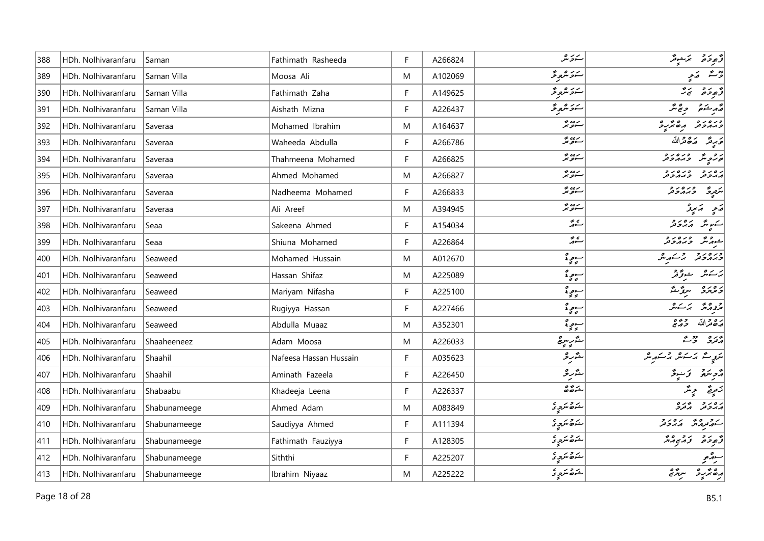| 388 | HDh. Nolhivaranfaru | Saman        | Fathimath Rasheeda     | F  | A266824 | سەدىر                                                                  | و مرد<br>ترجوحرمو<br>ىمەسىسىتىگە<br>ئ                                                                                                                                                                                                                                                                                                                                                                                                                                                                                                                                    |
|-----|---------------------|--------------|------------------------|----|---------|------------------------------------------------------------------------|--------------------------------------------------------------------------------------------------------------------------------------------------------------------------------------------------------------------------------------------------------------------------------------------------------------------------------------------------------------------------------------------------------------------------------------------------------------------------------------------------------------------------------------------------------------------------|
| 389 | HDh. Nolhivaranfaru | Saman Villa  | Moosa Ali              | M  | A102069 | سەئە ئىرى ئە                                                           | $\begin{array}{cc} & \overline{\phantom{0}} & \overline{\phantom{0}} & \overline{\phantom{0}} & \overline{\phantom{0}} & \overline{\phantom{0}} & \overline{\phantom{0}} & \overline{\phantom{0}} & \overline{\phantom{0}} & \overline{\phantom{0}} & \overline{\phantom{0}} & \overline{\phantom{0}} & \overline{\phantom{0}} & \overline{\phantom{0}} & \overline{\phantom{0}} & \overline{\phantom{0}} & \overline{\phantom{0}} & \overline{\phantom{0}} & \overline{\phantom{0}} & \overline{\phantom{0}} & \overline{\phantom{0}} & \overline{\phantom{0}} & \over$ |
| 390 | HDh. Nolhivaranfaru | Saman Villa  | Fathimath Zaha         | F. | A149625 | سەئەشرە ئە                                                             | توجوحتم<br>$z_{\check{\varepsilon}}$                                                                                                                                                                                                                                                                                                                                                                                                                                                                                                                                     |
| 391 | HDh. Nolhivaranfaru | Saman Villa  | Aishath Mizna          | F. | A226437 | سەر ئەھ <sub>ىم</sub> ۇ                                                | و مر شو د<br>حە ئەشر                                                                                                                                                                                                                                                                                                                                                                                                                                                                                                                                                     |
| 392 | HDh. Nolhivaranfaru | Saveraa      | Mohamed Ibrahim        | M  | A164637 | ر ، ،<br>سنوح بو                                                       | و ر ه ر د<br>تر پر ژ تر<br>برە ئۆرۈ                                                                                                                                                                                                                                                                                                                                                                                                                                                                                                                                      |
| 393 | HDh. Nolhivaranfaru | Saveraa      | Waheeda Abdulla        | F  | A266786 | ر پر پر<br>سوه بو                                                      | عَ بِهِ مَدْ مَدَّ اللَّهُ                                                                                                                                                                                                                                                                                                                                                                                                                                                                                                                                               |
| 394 | HDh. Nolhivaranfaru | Saveraa      | Thahmeena Mohamed      | F  | A266825 | ر ن پر<br>سوی نئر                                                      | ەردېڭر دىرەرد                                                                                                                                                                                                                                                                                                                                                                                                                                                                                                                                                            |
| 395 | HDh. Nolhivaranfaru | Saveraa      | Ahmed Mohamed          | M  | A266827 | ر پر پر<br>سعو مر                                                      | ر 2000 - 2000<br>ג.ג ב ג.ג ב ב ג.ב                                                                                                                                                                                                                                                                                                                                                                                                                                                                                                                                       |
| 396 | HDh. Nolhivaranfaru | Saveraa      | Nadheema Mohamed       | F  | A266833 | ر ، ،<br>سنوگانو                                                       | و ره ر و<br><i>و پر</i> پر تر<br>ىئەتەرگە<br>ئ                                                                                                                                                                                                                                                                                                                                                                                                                                                                                                                           |
| 397 | HDh. Nolhivaranfaru | Saveraa      | Ali Areef              | M  | A394945 | ر ، ، .<br>سوء بو                                                      | أەسمج وأسيرقر                                                                                                                                                                                                                                                                                                                                                                                                                                                                                                                                                            |
| 398 | HDh. Nolhivaranfaru | Seaa         | Sakeena Ahmed          | F  | A154034 | يەمچ                                                                   | سكيانش برەرد                                                                                                                                                                                                                                                                                                                                                                                                                                                                                                                                                             |
| 399 | HDh. Nolhivaranfaru | Seaa         | Shiuna Mohamed         | F  | A226864 | ئەچ                                                                    | جوړش وره ده.<br>خوړش ورودنو                                                                                                                                                                                                                                                                                                                                                                                                                                                                                                                                              |
| 400 | HDh. Nolhivaranfaru | Seaweed      | Mohamed Hussain        | M  | A012670 | سومٍ ؟<br>پرو                                                          | ورەرو ورىدىگ                                                                                                                                                                                                                                                                                                                                                                                                                                                                                                                                                             |
| 401 | HDh. Nolhivaranfaru | Seaweed      | Hassan Shifaz          | M  | A225089 | سوم ؟<br>پرو                                                           | ىز سەندىر ھەر <i>ۇ ۋە</i>                                                                                                                                                                                                                                                                                                                                                                                                                                                                                                                                                |
| 402 | HDh. Nolhivaranfaru | Seaweed      | Mariyam Nifasha        | F  | A225100 | سوم وي<br>پرونو                                                        | دەرو سۆڭ                                                                                                                                                                                                                                                                                                                                                                                                                                                                                                                                                                 |
| 403 | HDh. Nolhivaranfaru | Seaweed      | Rugiyya Hassan         | F. | A227466 | سوم و ؟<br>پرو                                                         | جرة مع كالمسكر                                                                                                                                                                                                                                                                                                                                                                                                                                                                                                                                                           |
| 404 | HDh. Nolhivaranfaru | Seaweed      | Abdulla Muaaz          | M  | A352301 | سوم ؟<br>پوځ                                                           | برە تراللە<br>و پر ہ<br>مریم                                                                                                                                                                                                                                                                                                                                                                                                                                                                                                                                             |
| 405 | HDh. Nolhivaranfaru | Shaaheeneez  | Adam Moosa             | M  | A226033 | ڪمر سرچ<br>پ                                                           | پره دون                                                                                                                                                                                                                                                                                                                                                                                                                                                                                                                                                                  |
| 406 | HDh. Nolhivaranfaru | Shaahil      | Nafeesa Hassan Hussain | F  | A035623 | ڪ مر ٿر<br>ر                                                           | ىندىگە ئەسەھ ب <u>ەسىر ھ</u>                                                                                                                                                                                                                                                                                                                                                                                                                                                                                                                                             |
| 407 | HDh. Nolhivaranfaru | Shaahil      | Aminath Fazeela        | F  | A226450 | ىش <sup>ت</sup> ر بۇ                                                   |                                                                                                                                                                                                                                                                                                                                                                                                                                                                                                                                                                          |
| 408 | HDh. Nolhivaranfaru | Shabaabu     | Khadeeja Leena         | F  | A226337 | $\overset{\circ}{\circ} \overset{\circ}{\circ} \overset{\circ}{\cdot}$ | ەگەرىكە كەنپە <mark>رگە</mark><br>ئەرەپكە مەيگە                                                                                                                                                                                                                                                                                                                                                                                                                                                                                                                          |
| 409 | HDh. Nolhivaranfaru | Shabunameege | Ahmed Adam             | M  | A083849 | ے کا سر <sub>حی</sub> کی                                               | ر <i>ہے۔</i><br>درجات درجات                                                                                                                                                                                                                                                                                                                                                                                                                                                                                                                                              |
| 410 | HDh. Nolhivaranfaru | Shabunameege | Saudiyya Ahmed         | F  | A111394 | ے کا مرکز کے مخ<br>مشروع کی مشر                                        | הבנה הבני                                                                                                                                                                                                                                                                                                                                                                                                                                                                                                                                                                |
| 411 | HDh. Nolhivaranfaru | Shabunameege | Fathimath Fauziyya     | F  | A128305 | شەھ ئىرىپە ئ                                                           |                                                                                                                                                                                                                                                                                                                                                                                                                                                                                                                                                                          |
| 412 | HDh. Nolhivaranfaru | Shabunameege | Siththi                | F. | A225207 | ے کا شرح کی<br>مشرح مشرح ک                                             |                                                                                                                                                                                                                                                                                                                                                                                                                                                                                                                                                                          |
| 413 | HDh. Nolhivaranfaru | Shabunameege | Ibrahim Niyaaz         | M  | A225222 | ے ک <i>ے سر<sub>ح کے</sub></i>                                         |                                                                                                                                                                                                                                                                                                                                                                                                                                                                                                                                                                          |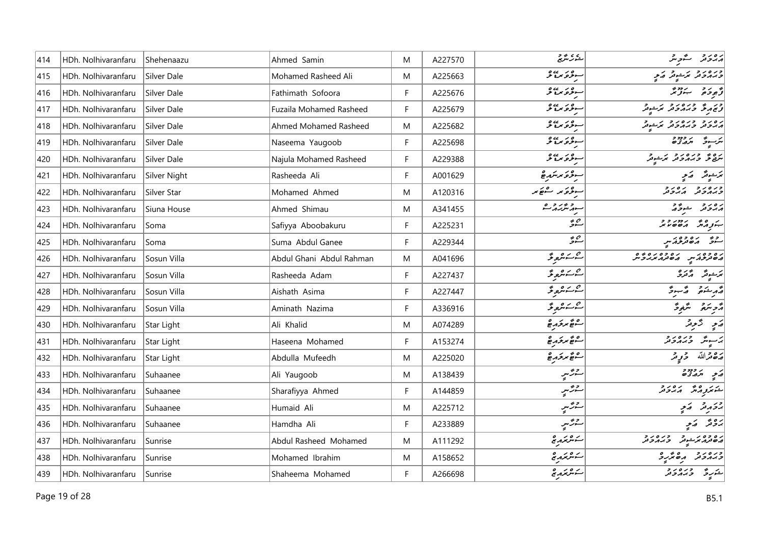| 414 | HDh. Nolhivaranfaru | Shehenaazu   | Ahmed Samin                    | M         | A227570 | شەر شەر                    | ړه د د گولر                                                        |
|-----|---------------------|--------------|--------------------------------|-----------|---------|----------------------------|--------------------------------------------------------------------|
| 415 | HDh. Nolhivaranfaru | Silver Dale  | Mohamed Rasheed Ali            | M         | A225663 | سوە ئەر يەھ                | ورەرو برجون كەير                                                   |
| 416 | HDh. Nolhivaranfaru | Silver Dale  | Fathimath Sofoora              | F         | A225676 | سەۋە ئىرىمى ئى             | و ده دودو                                                          |
| 417 | HDh. Nolhivaranfaru | Silver Dale  | <b>Fuzaila Mohamed Rasheed</b> | F         | A225679 | سەۋە ئىر ئەم               | ور و ورور و رئيوتر                                                 |
| 418 | HDh. Nolhivaranfaru | Silver Dale  | Ahmed Mohamed Rasheed          | M         | A225682 | للمعتقل                    |                                                                    |
| 419 | HDh. Nolhivaranfaru | Silver Dale  | Naseema Yaugoob                | F         | A225698 | سەۋە ئىرى ۋ                | پرسوځ پر ووو و                                                     |
| 420 | HDh. Nolhivaranfaru | Silver Dale  | Najula Mohamed Rasheed         | F         | A229388 | سەۋە ئەي ھ                 | ره و دره رو بر دور<br>سرچ و دبه دونر برخونر                        |
| 421 | HDh. Nolhivaranfaru | Silver Night | Rasheeda Ali                   | F         | A001629 | سوقرة برسكر هج             | يَرْجُونَّزُ - يَرْمَجِ                                            |
| 422 | HDh. Nolhivaranfaru | Silver Star  | Mohamed Ahmed                  | ${\sf M}$ | A120316 | سوثوثو مرتفقين             | כנסנכ נסנכ<br>כגמכת הגבת                                           |
| 423 | HDh. Nolhivaranfaru | Siuna House  | Ahmed Shimau                   | M         | A341455 | - پر شریر م                | أرور والمحدثة                                                      |
| 424 | HDh. Nolhivaranfaru | Soma         | Safiyya Aboobakuru             | F         | A225231 | حيو                        | ה בני נחיני                                                        |
| 425 | HDh. Nolhivaranfaru | Soma         | Suma Abdul Ganee               | F         | A229344 | يدمج                       | روه دەۋە ئىر                                                       |
| 426 | HDh. Nolhivaranfaru | Sosun Villa  | Abdul Ghani Abdul Rahman       | M         | A041696 | <u>شر سەھرىمى</u>          | גם כסג ה גם כסגם בס                                                |
| 427 | HDh. Nolhivaranfaru | Sosun Villa  | Rasheeda Adam                  | F         | A227437 | <u>شر سەھرىرى</u>          | ىر شونگر مى تەرە<br>مەسىم قىلىرى                                   |
| 428 | HDh. Nolhivaranfaru | Sosun Villa  | Aishath Asima                  | F         | A227447 | 2 سەنلى <sub>رى</sub> ئە   | وأرجنتم وأسود                                                      |
| 429 | HDh. Nolhivaranfaru | Sosun Villa  | Aminath Nazima                 | F         | A336916 | <u>شە ئەنگرو ئ</u> ە       | و بر در در مقرور میگیرد.<br>مرد مقر                                |
| 430 | HDh. Nolhivaranfaru | Star Light   | Ali Khalid                     | M         | A074289 | <u>شوءَ برځ رغ</u>         | ړې ژونژ                                                            |
| 431 | HDh. Nolhivaranfaru | Star Light   | Haseena Mohamed                | F         | A153274 | ر<br>سرچ پر <i>ج</i> رم هي | ر<br>ر <sub>ىسى</sub> ر ئەرەبەر                                    |
| 432 | HDh. Nolhivaranfaru | Star Light   | Abdulla Mufeedh                | M         | A225020 | <u>شوءَ برځ ره</u>         | رە دالله در د                                                      |
| 433 | HDh. Nolhivaranfaru | Suhaanee     | Ali Yaugoob                    | M         | A138439 | قەر<br>بەشتەش ئە           | וביב הבה בי                                                        |
| 434 | HDh. Nolhivaranfaru | Suhaanee     | Sharafiyya Ahmed               | F         | A144859 | قىي<br>بەشتەشرىيە          | شكروه كالمرورد                                                     |
| 435 | HDh. Nolhivaranfaru | Suhaanee     | Humaid Ali                     | M         | A225712 | يە ئەسىر                   | ر در در کام<br>مورد ا                                              |
| 436 | HDh. Nolhivaranfaru | Suhaanee     | Hamdha Ali                     | F         | A233889 | شۇر ئىبر                   | رەپى مەر                                                           |
| 437 | HDh. Nolhivaranfaru | Sunrise      | Abdul Rasheed Mohamed          | M         | A111292 | سە ئىرىمەم چ               | ر 0 2 0 ر 2<br>ג שנקג <sub>אלי</sub> בינג - 2 <i>ג הרב</i> נג<br>ג |
| 438 | HDh. Nolhivaranfaru | Sunrise      | Mohamed Ibrahim                | M         | A158652 | سەمىرى <i>مى</i> رى        | כמחכת תפתיכ                                                        |
| 439 | HDh. Nolhivaranfaru | Sunrise      | Shaheema Mohamed               | F         | A266698 | سەمىرى <i>مى</i> رى        | شكرد ورەرو                                                         |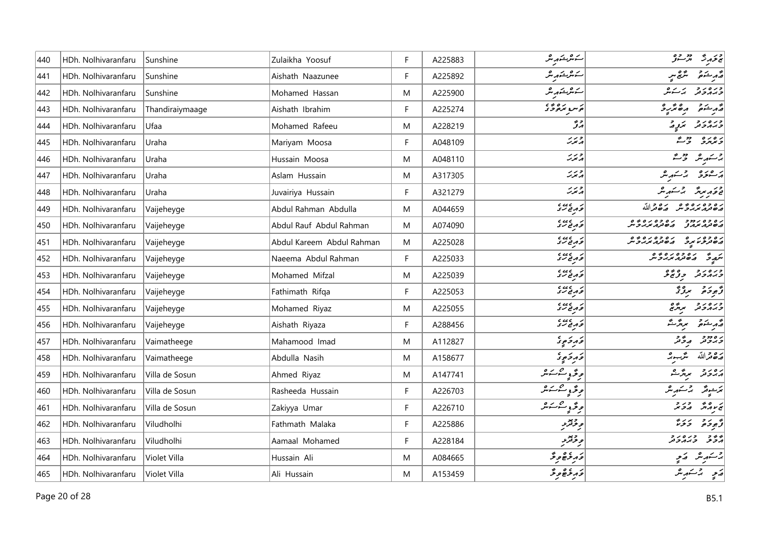| 440 | HDh. Nolhivaranfaru | Sunshine        | Zulaikha Yoosuf           | F. | A225883 | سەن <sub>ى</sub> رىشەمەر بىر        | ح ئەرگە<br>سى<br>ە دە يە                                         |
|-----|---------------------|-----------------|---------------------------|----|---------|-------------------------------------|------------------------------------------------------------------|
| 441 | HDh. Nolhivaranfaru | Sunshine        | Aishath Naazunee          | F. | A225892 | سەنگرىش <i>ەر بىر</i>               | أقرم شوقو ستنجاس                                                 |
| 442 | HDh. Nolhivaranfaru | Sunshine        | Mohamed Hassan            | M  | A225900 | سەنى <i>رىدىكىر</i> ىش              | ورەرو پرىكە                                                      |
| 443 | HDh. Nolhivaranfaru | Thandiraiymaage | Aishath Ibrahim           | F  | A225274 | ا<br>ئوسى <sub>ۋىمب</sub> ورى       | ومرشوم وهندر                                                     |
| 444 | HDh. Nolhivaranfaru | Ufaa            | Mohamed Rafeeu            | M  | A228219 | دوسمح                               | وره رو کرده                                                      |
| 445 | HDh. Nolhivaranfaru | Uraha           | Mariyam Moosa             | F  | A048109 | برىرىر                              | ر ه ر ه<br><del>ر</del> بربر ژ                                   |
| 446 | HDh. Nolhivaranfaru | Uraha           | Hussain Moosa             | M  | A048110 | برىرىر                              | برسكر شرقر فرقشة                                                 |
| 447 | HDh. Nolhivaranfaru | Uraha           | Aslam Hussain             | M  | A317305 | پرسر                                | ړ ه ده پر شهر شر                                                 |
| 448 | HDh. Nolhivaranfaru | Uraha           | Juvairiya Hussain         | F  | A321279 | برىرىر                              | فأقرم مرير بالمسكر يكر                                           |
| 449 | HDh. Nolhivaranfaru | Vaijeheyge      | Abdul Rahman Abdulla      | M  | A044659 | ر<br>تو در ج ر د                    | ره ده ره ده ده در دانه                                           |
| 450 | HDh. Nolhivaranfaru | Vaijeheyge      | Abdul Rauf Abdul Rahman   | M  | A074090 | ر<br>و د مع ر د                     | ر ם כם גדרך מי גם גם גים<br>גיסינג גג'ד גיסינג <i>גיג</i> ביינ   |
| 451 | HDh. Nolhivaranfaru | Vaijeheyge      | Abdul Kareem Abdul Rahman | M  | A225028 | ر<br>و د مع ر د                     | נוספנים נוספם נוספים<br>השינו <i>ב</i> טי <i>קב השינה הגב</i> ית |
| 452 | HDh. Nolhivaranfaru | Vaijeheyge      | Naeema Abdul Rahman       | F. | A225033 | ر<br>و د م ر د د                    | 22010201 24                                                      |
| 453 | HDh. Nolhivaranfaru | Vaijeheyge      | Mohamed Mifzal            | M  | A225039 | ر<br>تو دي ري                       | ورەرو دونجو                                                      |
| 454 | HDh. Nolhivaranfaru | Vaijeheyge      | Fathimath Rifqa           | F  | A225053 | ر<br>ح در ج ر د                     | ا تو بر د<br>ا<br>ىروگ                                           |
| 455 | HDh. Nolhivaranfaru | Vaijeheyge      | Mohamed Riyaz             | M  | A225055 | ر<br>تو مربع ر <sub>ک</sub>         | و ره ر و<br><i>و پر</i> و تر<br>بردمج                            |
| 456 | HDh. Nolhivaranfaru | Vaijeheyge      | Aishath Riyaza            | F  | A288456 | ر<br>تو در ج ری                     | ۇرىشكى برىرىگ                                                    |
| 457 | HDh. Nolhivaranfaru | Vaimatheege     | Mahamood Imad             | M  | A112827 | ىدىرى<br>ئۇرىرى                     | י סמכ כי ייביק.<br>כימכית ומכית                                  |
| 458 | HDh. Nolhivaranfaru | Vaimatheege     | Abdulla Nasih             | M  | A158677 | ى<br>قەرىخ يى                       | ىترىبىدىر<br>رەمەللە                                             |
| 459 | HDh. Nolhivaranfaru | Villa de Sosun  | Ahmed Riyaz               | M  | A147741 | ار ٿ <sub>و</sub> ٿريشنگر           | رەرد پەر                                                         |
| 460 | HDh. Nolhivaranfaru | Villa de Sosun  | Rasheeda Hussain          | F  | A226703 | ا <sub>ھ قۇ پە</sub> ر<br>سىستىمىگە | ىرىشوند رقى كىرىدى<br>سىر                                        |
| 461 | HDh. Nolhivaranfaru | Villa de Sosun  | Zakiyya Umar              | F  | A226710 | ە <sub>ۋ قې</sub> رىتى ئەنگەر       |                                                                  |
| 462 | HDh. Nolhivaranfaru | Viludholhi      | Fathmath Malaka           | F. | A225886 | وتزقرو                              | توجدة المزار                                                     |
| 463 | HDh. Nolhivaranfaru | Viludholhi      | Aamaal Mohamed            | F  | A228184 | وتحقرو                              | پر دی<br>مرکز تو<br>و رە ر د<br>تر پر تر تر                      |
| 464 | HDh. Nolhivaranfaru | Violet Villa    | Hussain Ali               | M  | A084665 | أء مرتزء ويحه                       | ير سکه شرکت اور کمبر می                                          |
| 465 | HDh. Nolhivaranfaru | Violet Villa    | Ali Hussain               | M  | A153459 | أقار بخره عرقحه                     | أرشح برستمريش                                                    |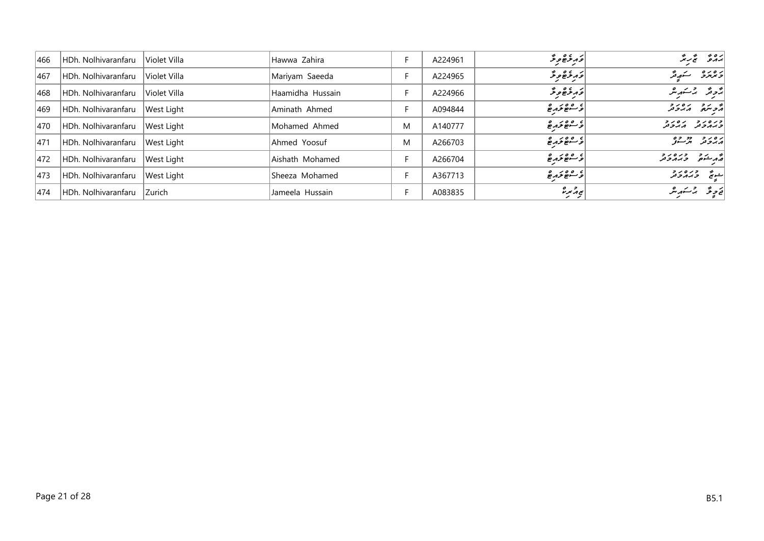| 466 | HDh. Nolhivaranfaru Violet Villa |                   | 'Hawwa Zahira    |   | A224961 | ءَ ہر ځه عو ځه                  | پرویچ<br>سے سر سو                    |
|-----|----------------------------------|-------------------|------------------|---|---------|---------------------------------|--------------------------------------|
| 467 | HDh. Nolhivaranfaru              | Violet Villa      | Mariyam Saeeda   |   | A224965 | ءَ ٻر ؤھ ءِ مَرَّ               | ئە ئەردى<br>ر مست <sub>م</sub> ر مگر |
| 468 | HDh. Nolhivaranfaru              | Violet Villa      | Haamidha Hussain |   | A224966 | قەمرىخ ھومۇ                     | گەدىگر كەسكەرلىك                     |
| 469 | HDh. Nolhivaranfaru              | West Light        | Aminath Ahmed    |   | A094844 | ء مصورة صحيح مرض <sup>1</sup> ة | أثر وسكافة المركز والمحمد            |
| 470 | HDh. Nolhivaranfaru   West Light |                   | Mohamed Ahmed    | M | A140777 | ء مصغ توريح                     | ورەرو رەرو                           |
| 471 | HDh. Nolhivaranfaru              | West Light        | Ahmed Yoosuf     | M | A266703 | ء مصغ توريح                     | د ه د د و د و و                      |
| 472 | HDh. Nolhivaranfaru              | <b>West Light</b> | Aishath Mohamed  |   | A266704 | ع صوغ پر م                      | ه شوه وره د و د                      |
| 473 | HDh. Nolhivaranfaru              | West Light        | Sheeza Mohamed   |   | A367713 | ء ص <sub>ق</sub> ور ۾           | شویج وبروبرو                         |
| 474 | HDh. Nolhivaranfaru              | Zurich            | Jameela Hussain  |   | A083835 | ى ئەڭرىم                        | ئاچ ئۆز برگە ئىككەنلەر               |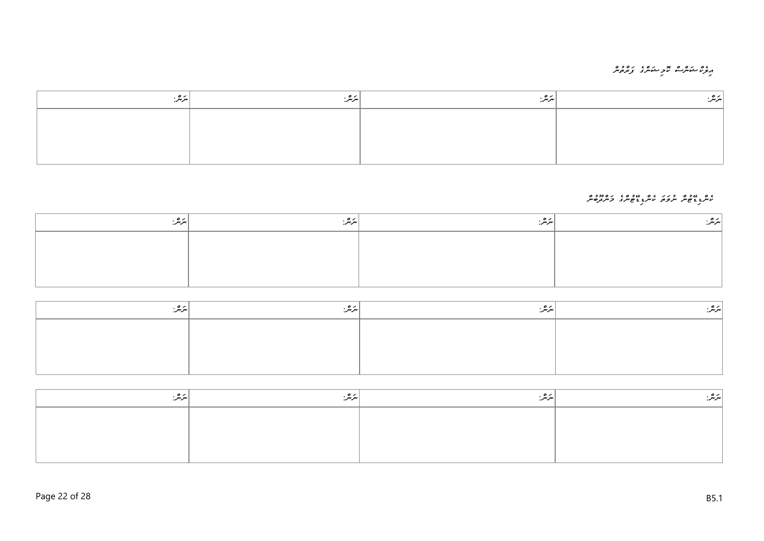## *w7qAn8m? sCw7mRo>u; wEw7mRw;sBo<*

| ' مرمر | 'يئرىثر: |
|--------|----------|
|        |          |
|        |          |
|        |          |

## *w7q9r@w7m> sCw7qHtFoFw7s; mAm=q7 w7qHtFoFw7s;*

| ىر تە | $\mathcal{O} \times$<br>$\sim$ | $\sim$<br>. . | لترنثر |
|-------|--------------------------------|---------------|--------|
|       |                                |               |        |
|       |                                |               |        |
|       |                                |               |        |

| يره | $^{\circ}$ | $\frac{2}{n}$ | $^{\circ}$<br>سرسر. |
|-----|------------|---------------|---------------------|
|     |            |               |                     |
|     |            |               |                     |
|     |            |               |                     |

| ىرتىر: | 。<br>سر سر | .,<br>مرسر |
|--------|------------|------------|
|        |            |            |
|        |            |            |
|        |            |            |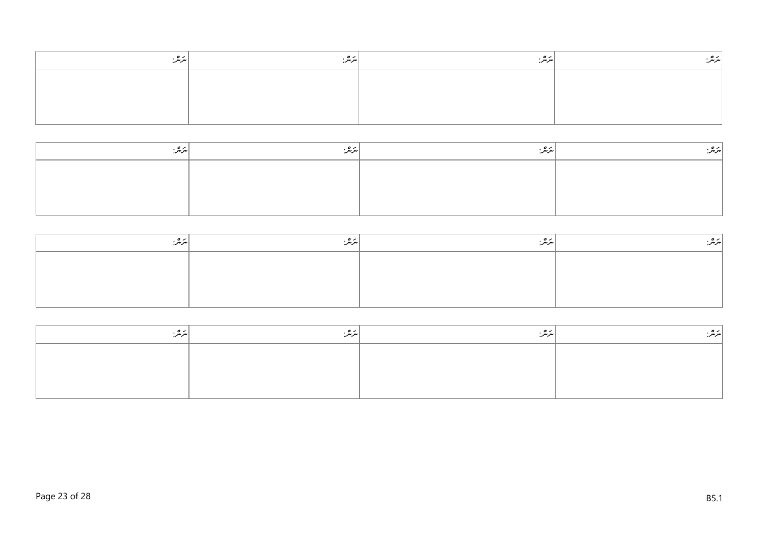| يزهر | $^{\circ}$ | ىئرىتر: |  |
|------|------------|---------|--|
|      |            |         |  |
|      |            |         |  |
|      |            |         |  |

| <sup>.</sup> سرسر. |  |
|--------------------|--|
|                    |  |
|                    |  |
|                    |  |

| ىئرىتر. | $\sim$ | ا بر هه. | لىرىش |
|---------|--------|----------|-------|
|         |        |          |       |
|         |        |          |       |
|         |        |          |       |

| 。<br>مرس. | $\overline{\phantom{a}}$<br>مر مىر | يتريثر |
|-----------|------------------------------------|--------|
|           |                                    |        |
|           |                                    |        |
|           |                                    |        |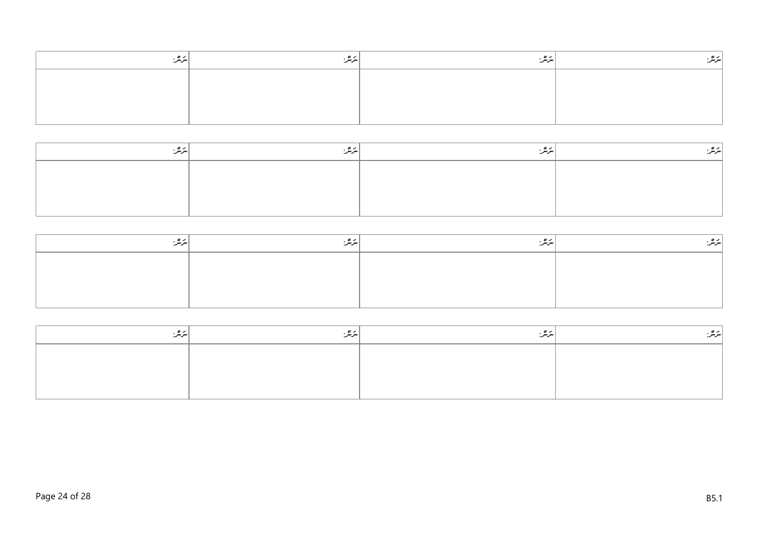| ير هو . | $\overline{\phantom{a}}$ | يرمر | اير هنه. |
|---------|--------------------------|------|----------|
|         |                          |      |          |
|         |                          |      |          |
|         |                          |      |          |

| ىر تىر: | $\circ$ $\sim$<br>" سرسر . | يترمير | o . |
|---------|----------------------------|--------|-----|
|         |                            |        |     |
|         |                            |        |     |
|         |                            |        |     |

| الترنثر: | ' مرتكز: | الترنثر: | .,<br>سرسر. |
|----------|----------|----------|-------------|
|          |          |          |             |
|          |          |          |             |
|          |          |          |             |

|  | . ه |
|--|-----|
|  |     |
|  |     |
|  |     |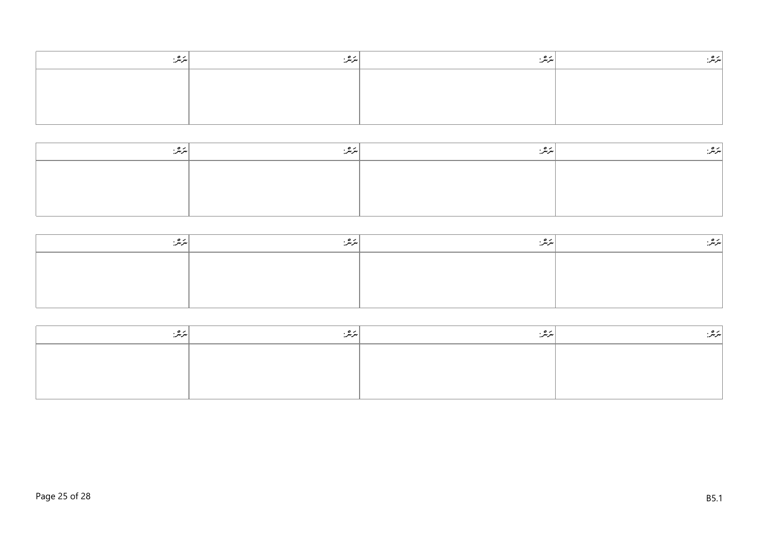| ير هو . | $\overline{\phantom{a}}$ | يرمر | اير هنه. |
|---------|--------------------------|------|----------|
|         |                          |      |          |
|         |                          |      |          |
|         |                          |      |          |

| ىر تىر: | $\circ$ $\sim$<br>" سرسر . | يترمير | o . |
|---------|----------------------------|--------|-----|
|         |                            |        |     |
|         |                            |        |     |
|         |                            |        |     |

| الترنثر: | ' مرتكز: | الترنثر: | .,<br>سرسر. |
|----------|----------|----------|-------------|
|          |          |          |             |
|          |          |          |             |
|          |          |          |             |

|  | . ه |
|--|-----|
|  |     |
|  |     |
|  |     |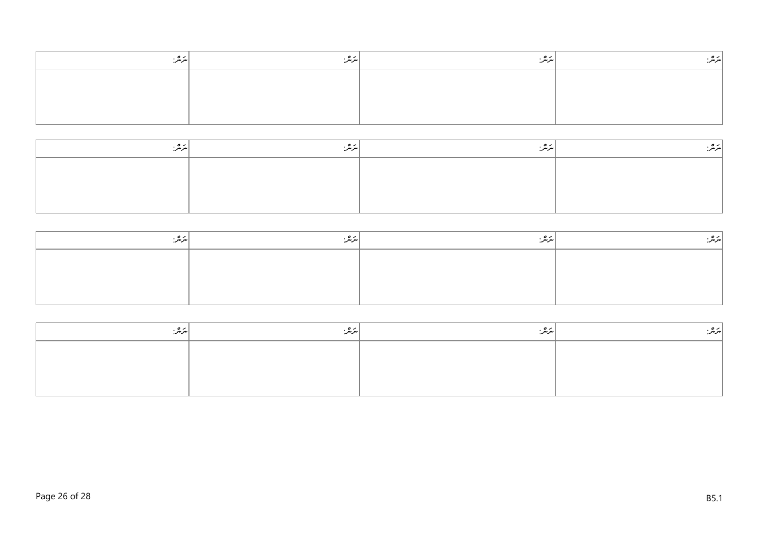| $\cdot$ | ο. | $\frac{\circ}{\cdot}$ | $\sim$<br>سرسر |
|---------|----|-----------------------|----------------|
|         |    |                       |                |
|         |    |                       |                |
|         |    |                       |                |

| يريثن | ' سرسر . |  |
|-------|----------|--|
|       |          |  |
|       |          |  |
|       |          |  |

| بر ه | 。 | $\sim$<br>َ سومس. |  |
|------|---|-------------------|--|
|      |   |                   |  |
|      |   |                   |  |
|      |   |                   |  |

| 。<br>. س | ىرىىر |  |
|----------|-------|--|
|          |       |  |
|          |       |  |
|          |       |  |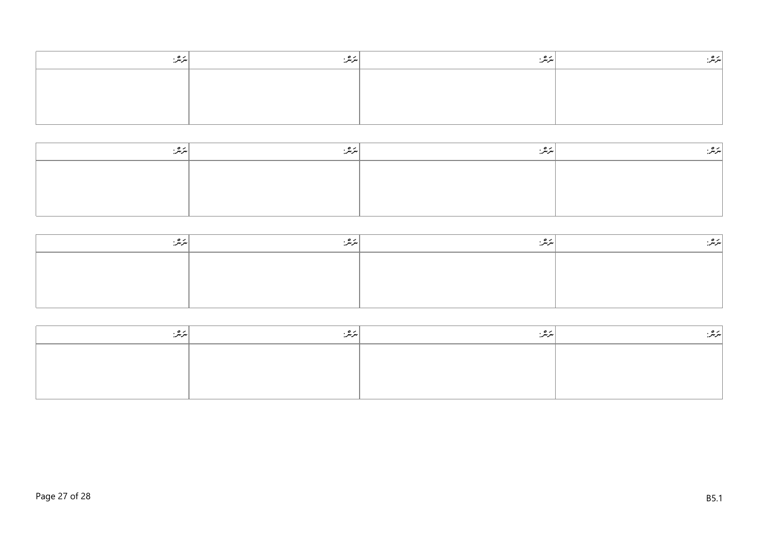| ير هو . | $\overline{\phantom{a}}$ | يرمر | لتزمثن |
|---------|--------------------------|------|--------|
|         |                          |      |        |
|         |                          |      |        |
|         |                          |      |        |

| ئىرتىر: | $\sim$<br>ا سرسر . | يئرمثر | o . |
|---------|--------------------|--------|-----|
|         |                    |        |     |
|         |                    |        |     |
|         |                    |        |     |

| 'تترنثر: | 。<br>,,,, |  |
|----------|-----------|--|
|          |           |  |
|          |           |  |
|          |           |  |

|  | . ه |
|--|-----|
|  |     |
|  |     |
|  |     |